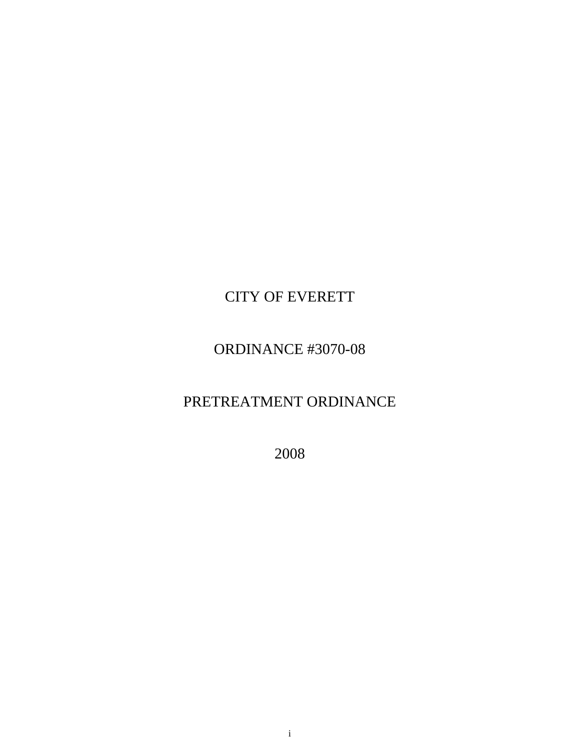# CITY OF EVERETT

# ORDINANCE #3070-08

# PRETREATMENT ORDINANCE

2008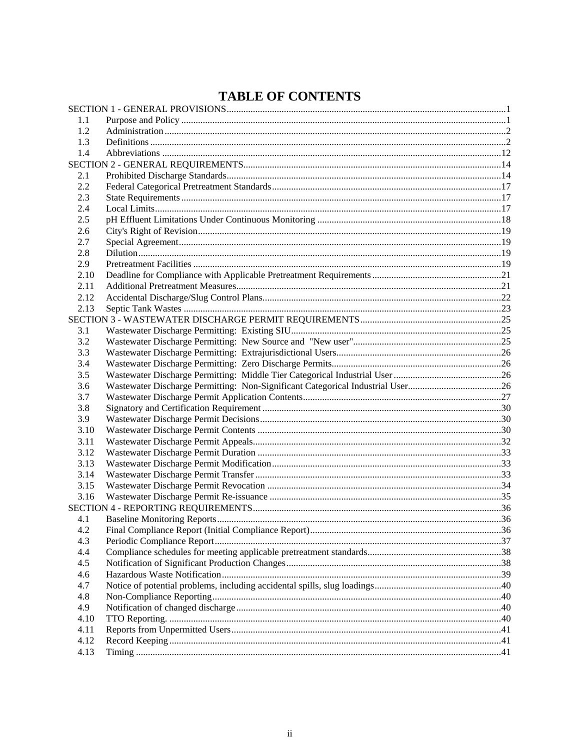## **TABLE OF CONTENTS**

| 1.1  |                                                                                |  |
|------|--------------------------------------------------------------------------------|--|
| 1.2  |                                                                                |  |
| 1.3  |                                                                                |  |
| 1.4  |                                                                                |  |
|      |                                                                                |  |
| 2.1  |                                                                                |  |
| 2.2  |                                                                                |  |
| 2.3  |                                                                                |  |
| 2.4  |                                                                                |  |
| 2.5  |                                                                                |  |
| 2.6  |                                                                                |  |
| 2.7  |                                                                                |  |
| 2.8  |                                                                                |  |
| 2.9  |                                                                                |  |
| 2.10 |                                                                                |  |
| 2.11 |                                                                                |  |
| 2.12 |                                                                                |  |
| 2.13 |                                                                                |  |
|      |                                                                                |  |
| 3.1  |                                                                                |  |
| 3.2  |                                                                                |  |
| 3.3  |                                                                                |  |
| 3.4  |                                                                                |  |
| 3.5  |                                                                                |  |
| 3.6  | Wastewater Discharge Permitting: Non-Significant Categorical Industrial User26 |  |
| 3.7  |                                                                                |  |
| 3.8  |                                                                                |  |
| 3.9  |                                                                                |  |
| 3.10 |                                                                                |  |
| 3.11 |                                                                                |  |
| 3.12 |                                                                                |  |
| 3.13 |                                                                                |  |
| 3.14 |                                                                                |  |
| 3.15 |                                                                                |  |
| 3.16 |                                                                                |  |
|      |                                                                                |  |
| 4.1  |                                                                                |  |
| 4.2  |                                                                                |  |
| 4.3  |                                                                                |  |
| 4.4  |                                                                                |  |
| 4.5  |                                                                                |  |
| 4.6  |                                                                                |  |
| 4.7  |                                                                                |  |
| 4.8  |                                                                                |  |
| 4.9  |                                                                                |  |
| 4.10 |                                                                                |  |
| 4.11 |                                                                                |  |
| 4.12 |                                                                                |  |
| 4.13 |                                                                                |  |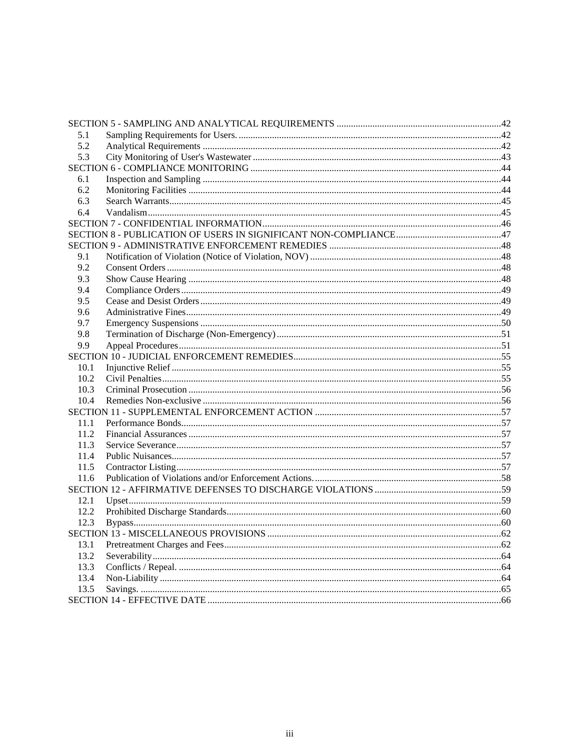| 5.1  |  |  |
|------|--|--|
| 5.2  |  |  |
| 5.3  |  |  |
|      |  |  |
| 6.1  |  |  |
| 6.2  |  |  |
| 6.3  |  |  |
| 6.4  |  |  |
|      |  |  |
|      |  |  |
|      |  |  |
| 9.1  |  |  |
| 9.2  |  |  |
| 9.3  |  |  |
| 9.4  |  |  |
| 9.5  |  |  |
| 9.6  |  |  |
| 9.7  |  |  |
| 9.8  |  |  |
| 9.9  |  |  |
|      |  |  |
| 10.1 |  |  |
| 10.2 |  |  |
| 10.3 |  |  |
| 10.4 |  |  |
|      |  |  |
| 11.1 |  |  |
| 11.2 |  |  |
| 11.3 |  |  |
| 11.4 |  |  |
| 11.5 |  |  |
| 11.6 |  |  |
|      |  |  |
| 12.1 |  |  |
| 12.2 |  |  |
| 12.3 |  |  |
|      |  |  |
| 13.1 |  |  |
| 13.2 |  |  |
| 13.3 |  |  |
| 13.4 |  |  |
| 13.5 |  |  |
|      |  |  |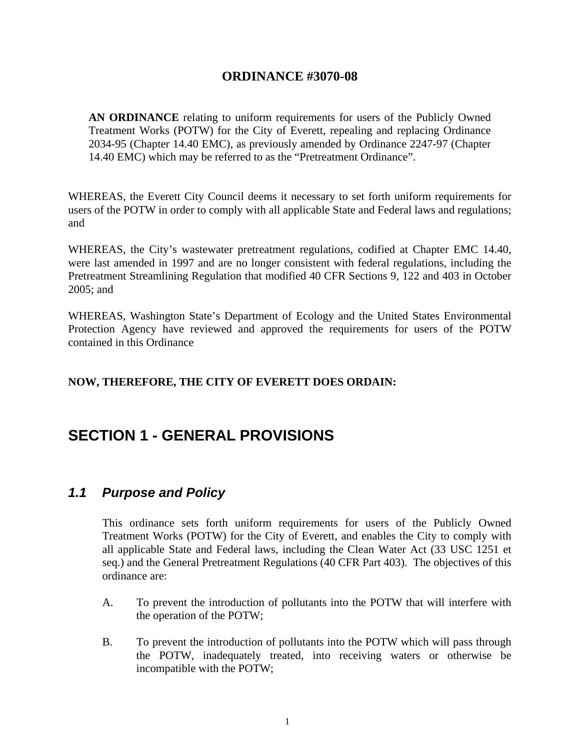#### **ORDINANCE #3070-08**

<span id="page-4-0"></span>**AN ORDINANCE** relating to uniform requirements for users of the Publicly Owned Treatment Works (POTW) for the City of Everett, repealing and replacing Ordinance 2034-95 (Chapter 14.40 EMC), as previously amended by Ordinance 2247-97 (Chapter 14.40 EMC) which may be referred to as the "Pretreatment Ordinance".

WHEREAS, the Everett City Council deems it necessary to set forth uniform requirements for users of the POTW in order to comply with all applicable State and Federal laws and regulations; and

WHEREAS, the City's wastewater pretreatment regulations, codified at Chapter EMC 14.40, were last amended in 1997 and are no longer consistent with federal regulations, including the Pretreatment Streamlining Regulation that modified 40 CFR Sections 9, 122 and 403 in October 2005; and

WHEREAS, Washington State's Department of Ecology and the United States Environmental Protection Agency have reviewed and approved the requirements for users of the POTW contained in this Ordinance

#### **NOW, THEREFORE, THE CITY OF EVERETT DOES ORDAIN:**

## **SECTION 1 - GENERAL PROVISIONS**

#### *1.1 Purpose and Policy*

 This ordinance sets forth uniform requirements for users of the Publicly Owned Treatment Works (POTW) for the City of Everett, and enables the City to comply with all applicable State and Federal laws, including the Clean Water Act (33 USC 1251 et seq.) and the General Pretreatment Regulations (40 CFR Part 403). The objectives of this ordinance are:

- A. To prevent the introduction of pollutants into the POTW that will interfere with the operation of the POTW;
- B. To prevent the introduction of pollutants into the POTW which will pass through the POTW, inadequately treated, into receiving waters or otherwise be incompatible with the POTW;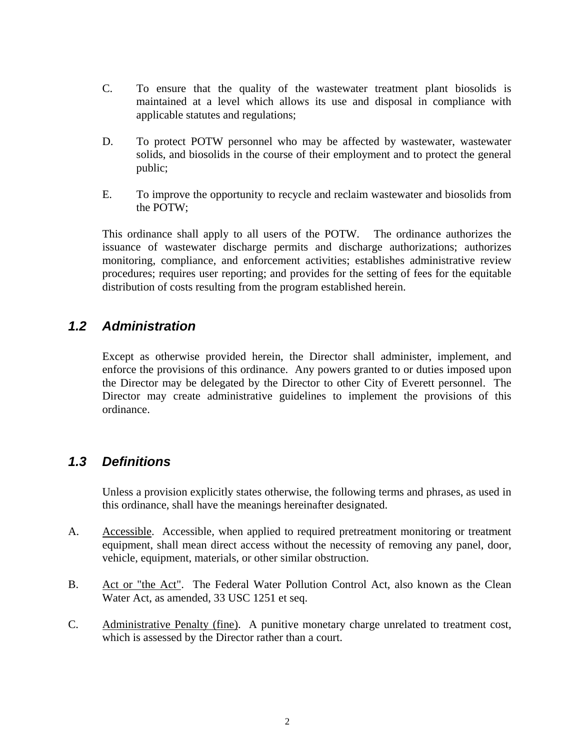- <span id="page-5-0"></span> C. To ensure that the quality of the wastewater treatment plant biosolids is maintained at a level which allows its use and disposal in compliance with applicable statutes and regulations;
- D. To protect POTW personnel who may be affected by wastewater, wastewater solids, and biosolids in the course of their employment and to protect the general public;
- E. To improve the opportunity to recycle and reclaim wastewater and biosolids from the POTW;

 This ordinance shall apply to all users of the POTW. The ordinance authorizes the issuance of wastewater discharge permits and discharge authorizations; authorizes monitoring, compliance, and enforcement activities; establishes administrative review procedures; requires user reporting; and provides for the setting of fees for the equitable distribution of costs resulting from the program established herein.

#### *1.2 Administration*

 Except as otherwise provided herein, the Director shall administer, implement, and enforce the provisions of this ordinance. Any powers granted to or duties imposed upon the Director may be delegated by the Director to other City of Everett personnel. The Director may create administrative guidelines to implement the provisions of this ordinance.

#### *1.3 Definitions*

 Unless a provision explicitly states otherwise, the following terms and phrases, as used in this ordinance, shall have the meanings hereinafter designated.

- A. Accessible. Accessible, when applied to required pretreatment monitoring or treatment equipment, shall mean direct access without the necessity of removing any panel, door, vehicle, equipment, materials, or other similar obstruction.
- B. Act or "the Act". The Federal Water Pollution Control Act, also known as the Clean Water Act, as amended, 33 USC 1251 et seq.
- C. Administrative Penalty (fine). A punitive monetary charge unrelated to treatment cost, which is assessed by the Director rather than a court.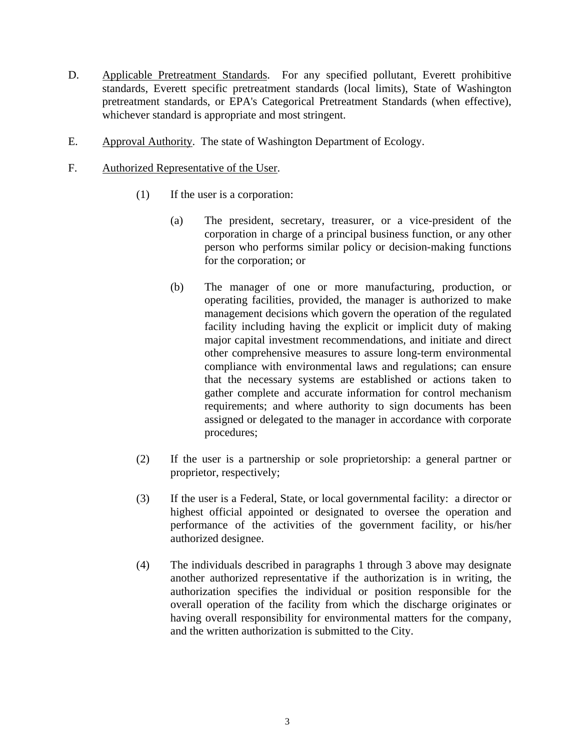- D. Applicable Pretreatment Standards. For any specified pollutant, Everett prohibitive standards, Everett specific pretreatment standards (local limits), State of Washington pretreatment standards, or EPA's Categorical Pretreatment Standards (when effective), whichever standard is appropriate and most stringent.
- E. Approval Authority. The state of Washington Department of Ecology.
- F. Authorized Representative of the User.
	- (1) If the user is a corporation:
		- (a) The president, secretary, treasurer, or a vice-president of the corporation in charge of a principal business function, or any other person who performs similar policy or decision-making functions for the corporation; or
		- (b) The manager of one or more manufacturing, production, or operating facilities, provided, the manager is authorized to make management decisions which govern the operation of the regulated facility including having the explicit or implicit duty of making major capital investment recommendations, and initiate and direct other comprehensive measures to assure long-term environmental compliance with environmental laws and regulations; can ensure that the necessary systems are established or actions taken to gather complete and accurate information for control mechanism requirements; and where authority to sign documents has been assigned or delegated to the manager in accordance with corporate procedures;
	- (2) If the user is a partnership or sole proprietorship: a general partner or proprietor, respectively;
	- (3) If the user is a Federal, State, or local governmental facility: a director or highest official appointed or designated to oversee the operation and performance of the activities of the government facility, or his/her authorized designee.
	- (4) The individuals described in paragraphs 1 through 3 above may designate another authorized representative if the authorization is in writing, the authorization specifies the individual or position responsible for the overall operation of the facility from which the discharge originates or having overall responsibility for environmental matters for the company, and the written authorization is submitted to the City.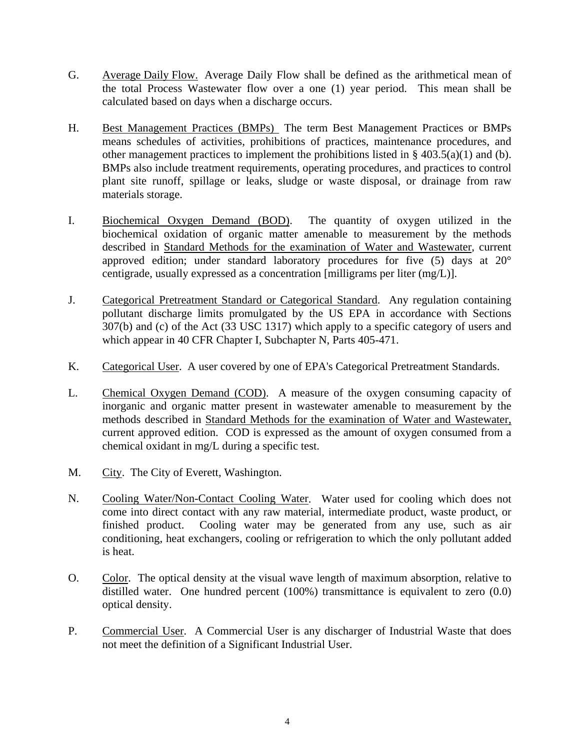- G. Average Daily Flow. Average Daily Flow shall be defined as the arithmetical mean of the total Process Wastewater flow over a one (1) year period. This mean shall be calculated based on days when a discharge occurs.
- H. Best Management Practices (BMPs) The term Best Management Practices or BMPs means schedules of activities, prohibitions of practices, maintenance procedures, and other management practices to implement the prohibitions listed in  $\S$  403.5(a)(1) and (b). BMPs also include treatment requirements, operating procedures, and practices to control plant site runoff, spillage or leaks, sludge or waste disposal, or drainage from raw materials storage.
- I. Biochemical Oxygen Demand (BOD). The quantity of oxygen utilized in the biochemical oxidation of organic matter amenable to measurement by the methods described in Standard Methods for the examination of Water and Wastewater, current approved edition; under standard laboratory procedures for five (5) days at 20° centigrade, usually expressed as a concentration [milligrams per liter (mg/L)].
- J. Categorical Pretreatment Standard or Categorical Standard. Any regulation containing pollutant discharge limits promulgated by the US EPA in accordance with Sections 307(b) and (c) of the Act (33 USC 1317) which apply to a specific category of users and which appear in 40 CFR Chapter I, Subchapter N, Parts 405-471.
- K. Categorical User. A user covered by one of EPA's Categorical Pretreatment Standards.
- L. Chemical Oxygen Demand (COD).A measure of the oxygen consuming capacity of inorganic and organic matter present in wastewater amenable to measurement by the methods described in Standard Methods for the examination of Water and Wastewater, current approved edition. COD is expressed as the amount of oxygen consumed from a chemical oxidant in mg/L during a specific test.
- M. City. The City of Everett, Washington.
- N. Cooling Water/Non-Contact Cooling Water. Water used for cooling which does not come into direct contact with any raw material, intermediate product, waste product, or finished product. Cooling water may be generated from any use, such as air conditioning, heat exchangers, cooling or refrigeration to which the only pollutant added is heat.
- O. Color. The optical density at the visual wave length of maximum absorption, relative to distilled water. One hundred percent (100%) transmittance is equivalent to zero (0.0) optical density.
- P. Commercial User. A Commercial User is any discharger of Industrial Waste that does not meet the definition of a Significant Industrial User.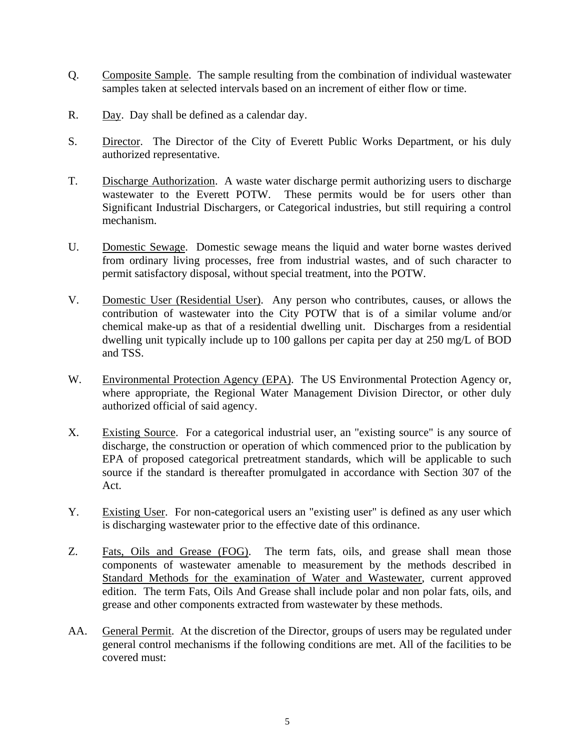- Q. Composite Sample. The sample resulting from the combination of individual wastewater samples taken at selected intervals based on an increment of either flow or time.
- R. Day. Day shall be defined as a calendar day.
- S. Director. The Director of the City of Everett Public Works Department, or his duly authorized representative.
- T. Discharge Authorization. A waste water discharge permit authorizing users to discharge wastewater to the Everett POTW. These permits would be for users other than Significant Industrial Dischargers, or Categorical industries, but still requiring a control mechanism.
- U. Domestic Sewage. Domestic sewage means the liquid and water borne wastes derived from ordinary living processes, free from industrial wastes, and of such character to permit satisfactory disposal, without special treatment, into the POTW.
- V. Domestic User (Residential User). Any person who contributes, causes, or allows the contribution of wastewater into the City POTW that is of a similar volume and/or chemical make-up as that of a residential dwelling unit. Discharges from a residential dwelling unit typically include up to 100 gallons per capita per day at 250 mg/L of BOD and TSS.
- W. Environmental Protection Agency (EPA). The US Environmental Protection Agency or, where appropriate, the Regional Water Management Division Director, or other duly authorized official of said agency.
- X. Existing Source. For a categorical industrial user, an "existing source" is any source of discharge, the construction or operation of which commenced prior to the publication by EPA of proposed categorical pretreatment standards, which will be applicable to such source if the standard is thereafter promulgated in accordance with Section 307 of the Act.
- Y. Existing User. For non-categorical users an "existing user" is defined as any user which is discharging wastewater prior to the effective date of this ordinance.
- Z. Fats, Oils and Grease (FOG). The term fats, oils, and grease shall mean those components of wastewater amenable to measurement by the methods described in Standard Methods for the examination of Water and Wastewater, current approved edition. The term Fats, Oils And Grease shall include polar and non polar fats, oils, and grease and other components extracted from wastewater by these methods.
- AA. General Permit. At the discretion of the Director, groups of users may be regulated under general control mechanisms if the following conditions are met. All of the facilities to be covered must: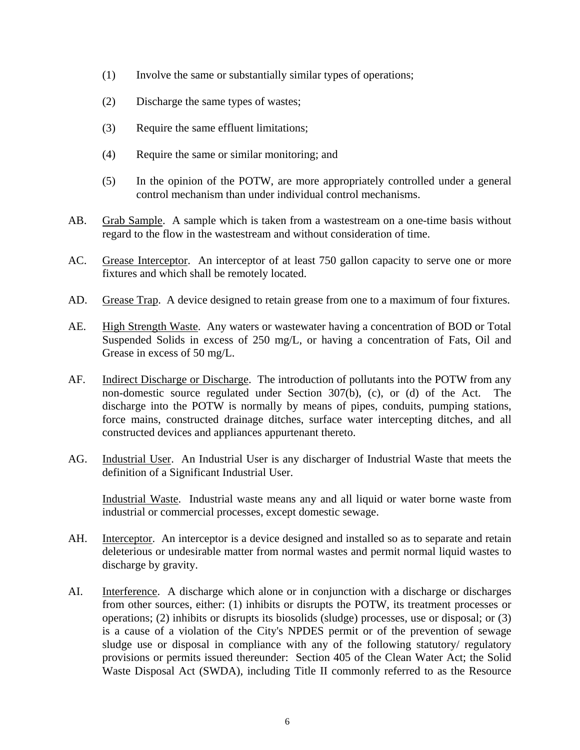- (1) Involve the same or substantially similar types of operations;
- (2) Discharge the same types of wastes;
- (3) Require the same effluent limitations;
- (4) Require the same or similar monitoring; and
- (5) In the opinion of the POTW, are more appropriately controlled under a general control mechanism than under individual control mechanisms.
- AB. Grab Sample. A sample which is taken from a wastestream on a one-time basis without regard to the flow in the wastestream and without consideration of time.
- AC. Grease Interceptor. An interceptor of at least 750 gallon capacity to serve one or more fixtures and which shall be remotely located.
- AD. Grease Trap. A device designed to retain grease from one to a maximum of four fixtures.
- AE. High Strength Waste. Any waters or wastewater having a concentration of BOD or Total Suspended Solids in excess of 250 mg/L, or having a concentration of Fats, Oil and Grease in excess of 50 mg/L.
- AF. Indirect Discharge or Discharge. The introduction of pollutants into the POTW from any non-domestic source regulated under Section 307(b), (c), or (d) of the Act. The discharge into the POTW is normally by means of pipes, conduits, pumping stations, force mains, constructed drainage ditches, surface water intercepting ditches, and all constructed devices and appliances appurtenant thereto.
- AG. Industrial User. An Industrial User is any discharger of Industrial Waste that meets the definition of a Significant Industrial User.

Industrial Waste. Industrial waste means any and all liquid or water borne waste from industrial or commercial processes, except domestic sewage.

- AH. Interceptor. An interceptor is a device designed and installed so as to separate and retain deleterious or undesirable matter from normal wastes and permit normal liquid wastes to discharge by gravity.
- AI. Interference. A discharge which alone or in conjunction with a discharge or discharges from other sources, either: (1) inhibits or disrupts the POTW, its treatment processes or operations; (2) inhibits or disrupts its biosolids (sludge) processes, use or disposal; or (3) is a cause of a violation of the City's NPDES permit or of the prevention of sewage sludge use or disposal in compliance with any of the following statutory/ regulatory provisions or permits issued thereunder: Section 405 of the Clean Water Act; the Solid Waste Disposal Act (SWDA), including Title II commonly referred to as the Resource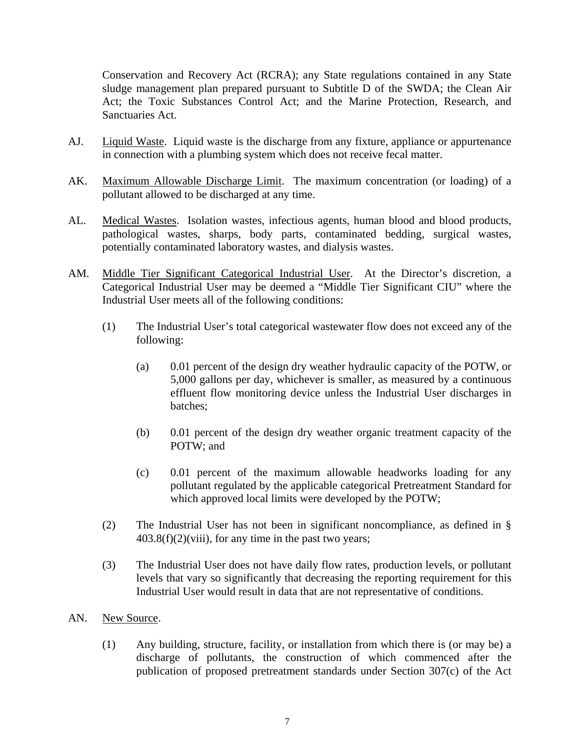Conservation and Recovery Act (RCRA); any State regulations contained in any State sludge management plan prepared pursuant to Subtitle D of the SWDA; the Clean Air Act; the Toxic Substances Control Act; and the Marine Protection, Research, and Sanctuaries Act.

- AJ. Liquid Waste. Liquid waste is the discharge from any fixture, appliance or appurtenance in connection with a plumbing system which does not receive fecal matter.
- AK. Maximum Allowable Discharge Limit. The maximum concentration (or loading) of a pollutant allowed to be discharged at any time.
- AL. Medical Wastes. Isolation wastes, infectious agents, human blood and blood products, pathological wastes, sharps, body parts, contaminated bedding, surgical wastes, potentially contaminated laboratory wastes, and dialysis wastes.
- AM. Middle Tier Significant Categorical Industrial User. At the Director's discretion, a Categorical Industrial User may be deemed a "Middle Tier Significant CIU" where the Industrial User meets all of the following conditions:
	- (1) The Industrial User's total categorical wastewater flow does not exceed any of the following:
		- (a) 0.01 percent of the design dry weather hydraulic capacity of the POTW, or 5,000 gallons per day, whichever is smaller, as measured by a continuous effluent flow monitoring device unless the Industrial User discharges in batches;
		- (b) 0.01 percent of the design dry weather organic treatment capacity of the POTW; and
		- (c) 0.01 percent of the maximum allowable headworks loading for any pollutant regulated by the applicable categorical Pretreatment Standard for which approved local limits were developed by the POTW;
	- (2) The Industrial User has not been in significant noncompliance, as defined in §  $403.8(f)(2)(viii)$ , for any time in the past two years;
	- (3) The Industrial User does not have daily flow rates, production levels, or pollutant levels that vary so significantly that decreasing the reporting requirement for this Industrial User would result in data that are not representative of conditions.
- AN. New Source.
	- (1) Any building, structure, facility, or installation from which there is (or may be) a discharge of pollutants, the construction of which commenced after the publication of proposed pretreatment standards under Section 307(c) of the Act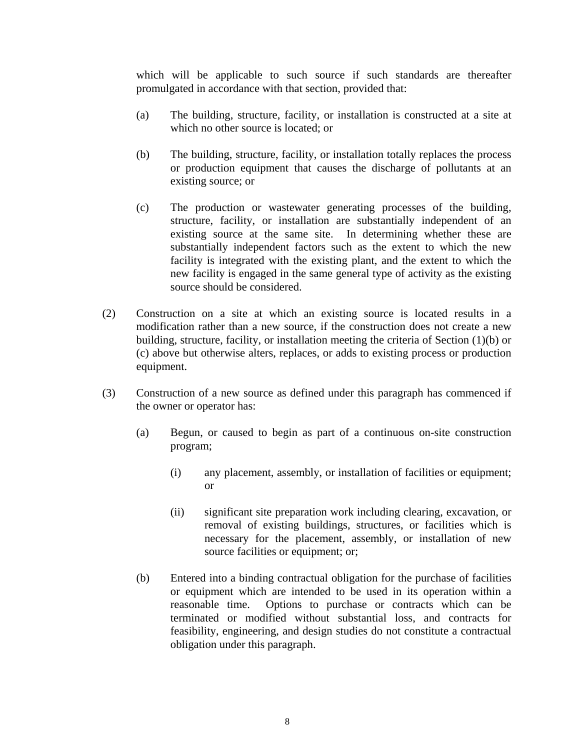which will be applicable to such source if such standards are thereafter promulgated in accordance with that section, provided that:

- (a) The building, structure, facility, or installation is constructed at a site at which no other source is located; or
- (b) The building, structure, facility, or installation totally replaces the process or production equipment that causes the discharge of pollutants at an existing source; or
- (c) The production or wastewater generating processes of the building, structure, facility, or installation are substantially independent of an existing source at the same site. In determining whether these are substantially independent factors such as the extent to which the new facility is integrated with the existing plant, and the extent to which the new facility is engaged in the same general type of activity as the existing source should be considered.
- (2) Construction on a site at which an existing source is located results in a modification rather than a new source, if the construction does not create a new building, structure, facility, or installation meeting the criteria of Section (1)(b) or (c) above but otherwise alters, replaces, or adds to existing process or production equipment.
- (3) Construction of a new source as defined under this paragraph has commenced if the owner or operator has:
	- (a) Begun, or caused to begin as part of a continuous on-site construction program;
		- (i) any placement, assembly, or installation of facilities or equipment; or
		- (ii) significant site preparation work including clearing, excavation, or removal of existing buildings, structures, or facilities which is necessary for the placement, assembly, or installation of new source facilities or equipment; or;
	- (b) Entered into a binding contractual obligation for the purchase of facilities or equipment which are intended to be used in its operation within a reasonable time. Options to purchase or contracts which can be terminated or modified without substantial loss, and contracts for feasibility, engineering, and design studies do not constitute a contractual obligation under this paragraph.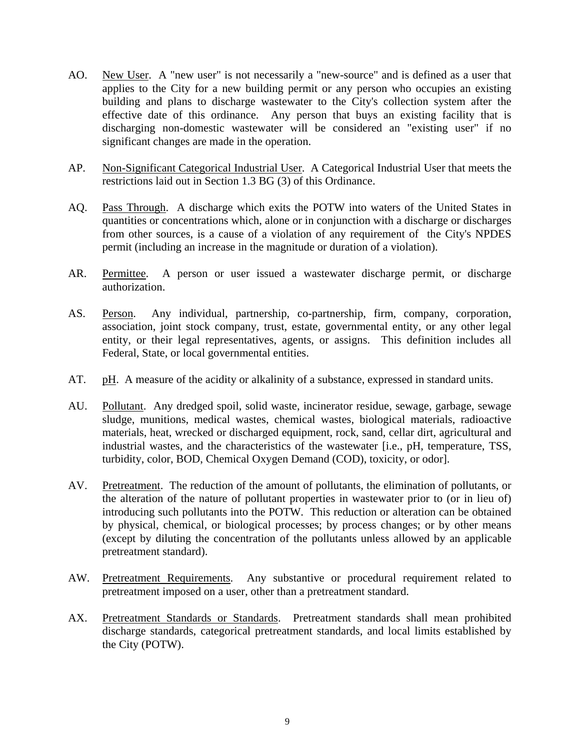- AO. New User. A "new user" is not necessarily a "new-source" and is defined as a user that applies to the City for a new building permit or any person who occupies an existing building and plans to discharge wastewater to the City's collection system after the effective date of this ordinance. Any person that buys an existing facility that is discharging non-domestic wastewater will be considered an "existing user" if no significant changes are made in the operation.
- AP. Non-Significant Categorical Industrial User. A Categorical Industrial User that meets the restrictions laid out in Section 1.3 BG (3) of this Ordinance.
- AQ. Pass Through. A discharge which exits the POTW into waters of the United States in quantities or concentrations which, alone or in conjunction with a discharge or discharges from other sources, is a cause of a violation of any requirement of the City's NPDES permit (including an increase in the magnitude or duration of a violation).
- AR. Permittee. A person or user issued a wastewater discharge permit, or discharge authorization.
- AS. Person. Any individual, partnership, co-partnership, firm, company, corporation, association, joint stock company, trust, estate, governmental entity, or any other legal entity, or their legal representatives, agents, or assigns. This definition includes all Federal, State, or local governmental entities.
- AT. pH. A measure of the acidity or alkalinity of a substance, expressed in standard units.
- AU. Pollutant. Any dredged spoil, solid waste, incinerator residue, sewage, garbage, sewage sludge, munitions, medical wastes, chemical wastes, biological materials, radioactive materials, heat, wrecked or discharged equipment, rock, sand, cellar dirt, agricultural and industrial wastes, and the characteristics of the wastewater [i.e., pH, temperature, TSS, turbidity, color, BOD, Chemical Oxygen Demand (COD), toxicity, or odor].
- AV. Pretreatment. The reduction of the amount of pollutants, the elimination of pollutants, or the alteration of the nature of pollutant properties in wastewater prior to (or in lieu of) introducing such pollutants into the POTW. This reduction or alteration can be obtained by physical, chemical, or biological processes; by process changes; or by other means (except by diluting the concentration of the pollutants unless allowed by an applicable pretreatment standard).
- AW. Pretreatment Requirements. Any substantive or procedural requirement related to pretreatment imposed on a user, other than a pretreatment standard.
- AX. Pretreatment Standards or Standards. Pretreatment standards shall mean prohibited discharge standards, categorical pretreatment standards, and local limits established by the City (POTW).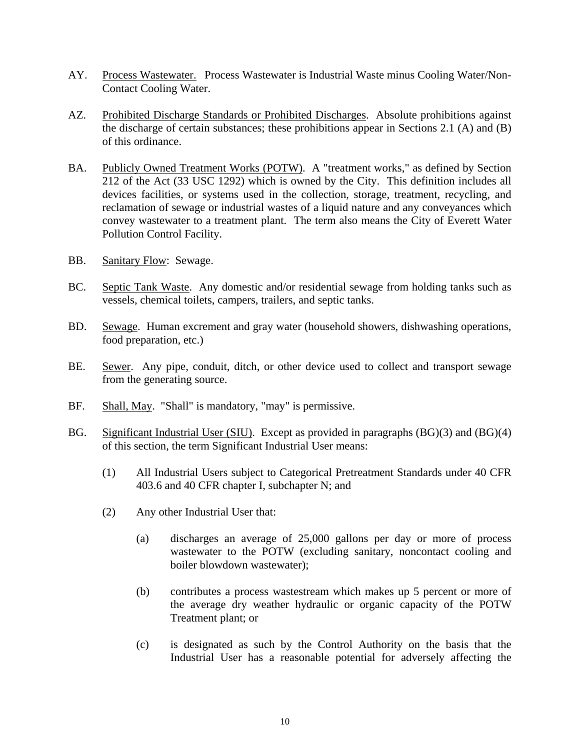- AY. Process Wastewater. Process Wastewater is Industrial Waste minus Cooling Water/Non-Contact Cooling Water.
- AZ. Prohibited Discharge Standards or Prohibited Discharges. Absolute prohibitions against the discharge of certain substances; these prohibitions appear in Sections 2.1 (A) and (B) of this ordinance.
- BA. Publicly Owned Treatment Works (POTW). A "treatment works," as defined by Section 212 of the Act (33 USC 1292) which is owned by the City. This definition includes all devices facilities, or systems used in the collection, storage, treatment, recycling, and reclamation of sewage or industrial wastes of a liquid nature and any conveyances which convey wastewater to a treatment plant. The term also means the City of Everett Water Pollution Control Facility.
- BB. Sanitary Flow: Sewage.
- BC. Septic Tank Waste. Any domestic and/or residential sewage from holding tanks such as vessels, chemical toilets, campers, trailers, and septic tanks.
- BD. Sewage. Human excrement and gray water (household showers, dishwashing operations, food preparation, etc.)
- BE. Sewer. Any pipe, conduit, ditch, or other device used to collect and transport sewage from the generating source.
- BF. Shall, May. "Shall" is mandatory, "may" is permissive.
- BG. Significant Industrial User (SIU). Except as provided in paragraphs (BG)(3) and (BG)(4) of this section, the term Significant Industrial User means:
	- (1) All Industrial Users subject to Categorical Pretreatment Standards under 40 CFR 403.6 and 40 CFR chapter I, subchapter N; and
	- (2) Any other Industrial User that:
		- (a) discharges an average of 25,000 gallons per day or more of process wastewater to the POTW (excluding sanitary, noncontact cooling and boiler blowdown wastewater);
		- (b) contributes a process wastestream which makes up 5 percent or more of the average dry weather hydraulic or organic capacity of the POTW Treatment plant; or
		- (c) is designated as such by the Control Authority on the basis that the Industrial User has a reasonable potential for adversely affecting the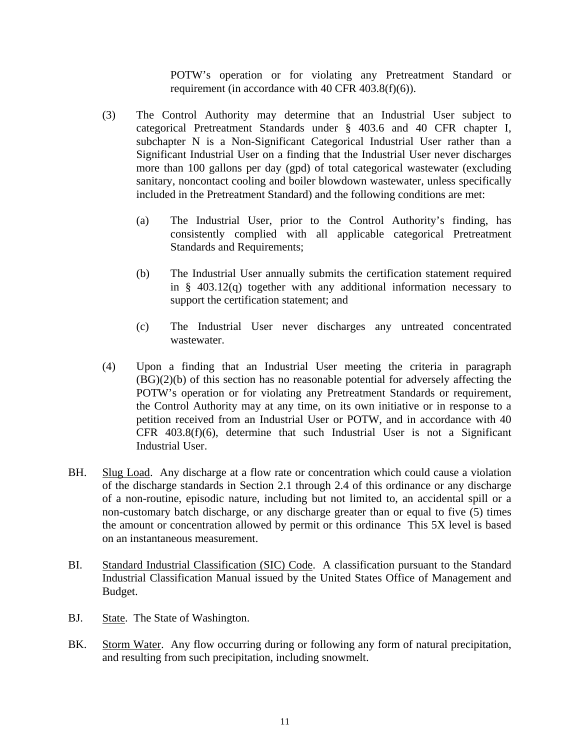POTW's operation or for violating any Pretreatment Standard or requirement (in accordance with 40 CFR 403.8(f)(6)).

- (3) The Control Authority may determine that an Industrial User subject to categorical Pretreatment Standards under § 403.6 and 40 CFR chapter I, subchapter N is a Non-Significant Categorical Industrial User rather than a Significant Industrial User on a finding that the Industrial User never discharges more than 100 gallons per day (gpd) of total categorical wastewater (excluding sanitary, noncontact cooling and boiler blowdown wastewater, unless specifically included in the Pretreatment Standard) and the following conditions are met:
	- (a) The Industrial User, prior to the Control Authority's finding, has consistently complied with all applicable categorical Pretreatment Standards and Requirements;
	- (b) The Industrial User annually submits the certification statement required in § 403.12(q) together with any additional information necessary to support the certification statement; and
	- (c) The Industrial User never discharges any untreated concentrated wastewater.
- (4) Upon a finding that an Industrial User meeting the criteria in paragraph  $(BG)(2)(b)$  of this section has no reasonable potential for adversely affecting the POTW's operation or for violating any Pretreatment Standards or requirement, the Control Authority may at any time, on its own initiative or in response to a petition received from an Industrial User or POTW, and in accordance with 40 CFR 403.8(f)(6), determine that such Industrial User is not a Significant Industrial User.
- BH. Slug Load. Any discharge at a flow rate or concentration which could cause a violation of the discharge standards in Section 2.1 through 2.4 of this ordinance or any discharge of a non-routine, episodic nature, including but not limited to, an accidental spill or a non-customary batch discharge, or any discharge greater than or equal to five (5) times the amount or concentration allowed by permit or this ordinance This 5X level is based on an instantaneous measurement.
- BI. Standard Industrial Classification (SIC) Code. A classification pursuant to the Standard Industrial Classification Manual issued by the United States Office of Management and Budget.
- BJ. State. The State of Washington.
- BK. Storm Water. Any flow occurring during or following any form of natural precipitation, and resulting from such precipitation, including snowmelt.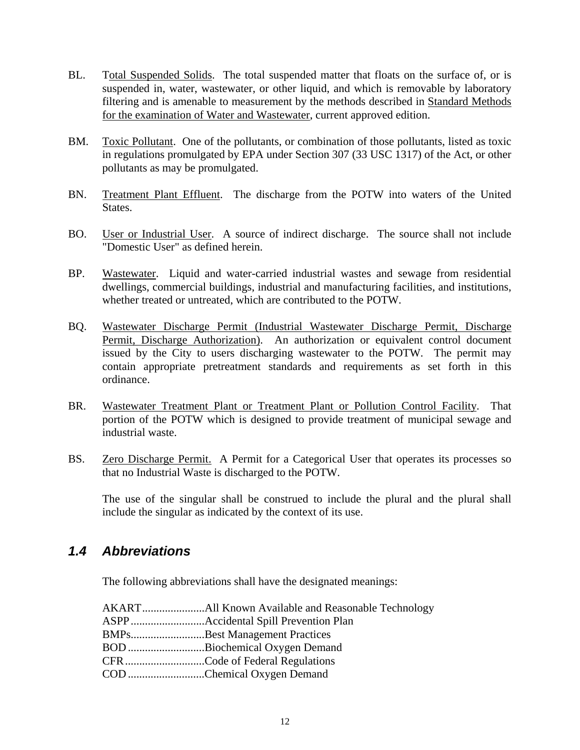- <span id="page-15-0"></span>BL. Total Suspended Solids. The total suspended matter that floats on the surface of, or is suspended in, water, wastewater, or other liquid, and which is removable by laboratory filtering and is amenable to measurement by the methods described in Standard Methods for the examination of Water and Wastewater, current approved edition.
- BM. Toxic Pollutant. One of the pollutants, or combination of those pollutants, listed as toxic in regulations promulgated by EPA under Section 307 (33 USC 1317) of the Act, or other pollutants as may be promulgated.
- BN. Treatment Plant Effluent. The discharge from the POTW into waters of the United States.
- BO. User or Industrial User. A source of indirect discharge. The source shall not include "Domestic User" as defined herein.
- BP. Wastewater. Liquid and water-carried industrial wastes and sewage from residential dwellings, commercial buildings, industrial and manufacturing facilities, and institutions, whether treated or untreated, which are contributed to the POTW.
- BQ. Wastewater Discharge Permit (Industrial Wastewater Discharge Permit, Discharge Permit, Discharge Authorization). An authorization or equivalent control document issued by the City to users discharging wastewater to the POTW. The permit may contain appropriate pretreatment standards and requirements as set forth in this ordinance.
- BR. Wastewater Treatment Plant or Treatment Plant or Pollution Control Facility. That portion of the POTW which is designed to provide treatment of municipal sewage and industrial waste.
- BS. Zero Discharge Permit. A Permit for a Categorical User that operates its processes so that no Industrial Waste is discharged to the POTW.

 The use of the singular shall be construed to include the plural and the plural shall include the singular as indicated by the context of its use.

#### *1.4 Abbreviations*

The following abbreviations shall have the designated meanings:

| BMPsBest Management Practices |
|-------------------------------|
| BOD Biochemical Oxygen Demand |
|                               |
| COD Chemical Oxygen Demand    |
|                               |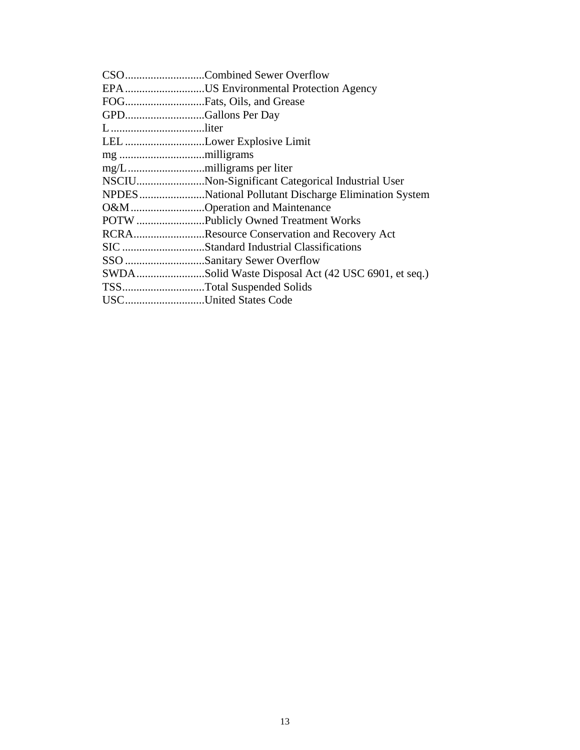|        | CSOCombined Sewer Overflow                            |
|--------|-------------------------------------------------------|
|        | EPA US Environmental Protection Agency                |
|        | FOGFats, Oils, and Grease                             |
|        | GPDGallons Per Day                                    |
| Lliter |                                                       |
|        | LEL Lower Explosive Limit                             |
|        |                                                       |
|        |                                                       |
|        | NSCIUNon-Significant Categorical Industrial User      |
|        | NPDES National Pollutant Discharge Elimination System |
|        | O&MOperation and Maintenance                          |
|        |                                                       |
|        | RCRAResource Conservation and Recovery Act            |
|        |                                                       |
|        | SSO Sanitary Sewer Overflow                           |
|        | SWDASolid Waste Disposal Act (42 USC 6901, et seq.)   |
|        | TSSTotal Suspended Solids                             |
|        | USCUnited States Code                                 |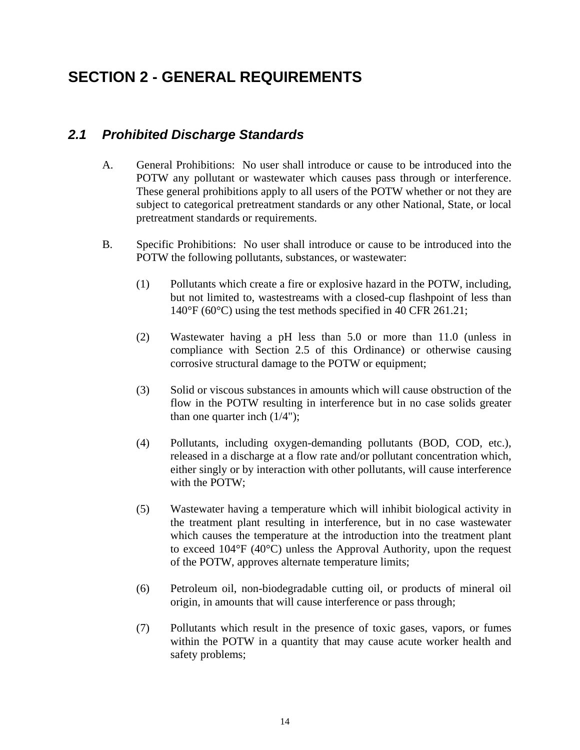## <span id="page-17-0"></span>**SECTION 2 - GENERAL REQUIREMENTS**

### *2.1 Prohibited Discharge Standards*

- A. General Prohibitions: No user shall introduce or cause to be introduced into the POTW any pollutant or wastewater which causes pass through or interference. These general prohibitions apply to all users of the POTW whether or not they are subject to categorical pretreatment standards or any other National, State, or local pretreatment standards or requirements.
- B. Specific Prohibitions: No user shall introduce or cause to be introduced into the POTW the following pollutants, substances, or wastewater:
	- (1) Pollutants which create a fire or explosive hazard in the POTW, including, but not limited to, wastestreams with a closed-cup flashpoint of less than 140°F (60°C) using the test methods specified in 40 CFR 261.21;
	- (2) Wastewater having a pH less than 5.0 or more than 11.0 (unless in compliance with Section 2.5 of this Ordinance) or otherwise causing corrosive structural damage to the POTW or equipment;
	- (3) Solid or viscous substances in amounts which will cause obstruction of the flow in the POTW resulting in interference but in no case solids greater than one quarter inch  $(1/4")$ ;
	- (4) Pollutants, including oxygen-demanding pollutants (BOD, COD, etc.), released in a discharge at a flow rate and/or pollutant concentration which, either singly or by interaction with other pollutants, will cause interference with the POTW;
	- (5) Wastewater having a temperature which will inhibit biological activity in the treatment plant resulting in interference, but in no case wastewater which causes the temperature at the introduction into the treatment plant to exceed 104°F (40°C) unless the Approval Authority, upon the request of the POTW, approves alternate temperature limits;
	- (6) Petroleum oil, non-biodegradable cutting oil, or products of mineral oil origin, in amounts that will cause interference or pass through;
	- (7) Pollutants which result in the presence of toxic gases, vapors, or fumes within the POTW in a quantity that may cause acute worker health and safety problems;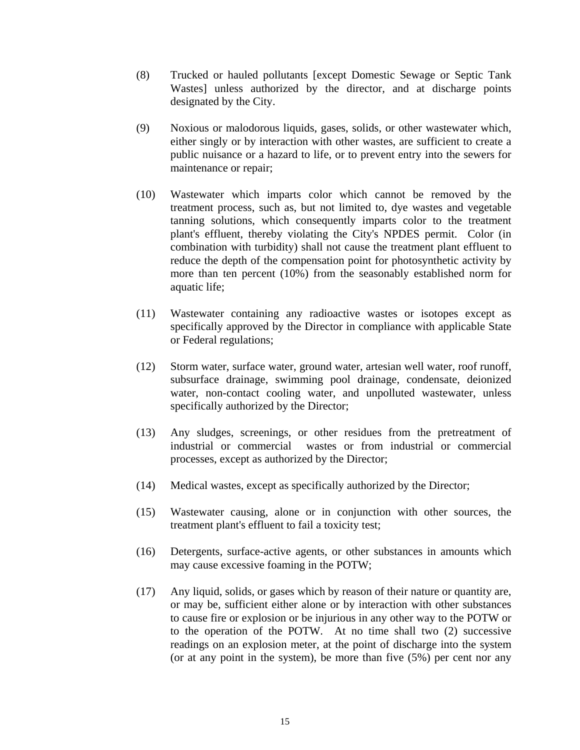- (8) Trucked or hauled pollutants [except Domestic Sewage or Septic Tank Wastes] unless authorized by the director, and at discharge points designated by the City.
- (9) Noxious or malodorous liquids, gases, solids, or other wastewater which, either singly or by interaction with other wastes, are sufficient to create a public nuisance or a hazard to life, or to prevent entry into the sewers for maintenance or repair;
- (10) Wastewater which imparts color which cannot be removed by the treatment process, such as, but not limited to, dye wastes and vegetable tanning solutions, which consequently imparts color to the treatment plant's effluent, thereby violating the City's NPDES permit. Color (in combination with turbidity) shall not cause the treatment plant effluent to reduce the depth of the compensation point for photosynthetic activity by more than ten percent (10%) from the seasonably established norm for aquatic life;
- (11) Wastewater containing any radioactive wastes or isotopes except as specifically approved by the Director in compliance with applicable State or Federal regulations;
- (12) Storm water, surface water, ground water, artesian well water, roof runoff, subsurface drainage, swimming pool drainage, condensate, deionized water, non-contact cooling water, and unpolluted wastewater, unless specifically authorized by the Director;
- (13) Any sludges, screenings, or other residues from the pretreatment of industrial or commercial wastes or from industrial or commercial processes, except as authorized by the Director;
- (14) Medical wastes, except as specifically authorized by the Director;
- (15) Wastewater causing, alone or in conjunction with other sources, the treatment plant's effluent to fail a toxicity test;
- (16) Detergents, surface-active agents, or other substances in amounts which may cause excessive foaming in the POTW;
- (17) Any liquid, solids, or gases which by reason of their nature or quantity are, or may be, sufficient either alone or by interaction with other substances to cause fire or explosion or be injurious in any other way to the POTW or to the operation of the POTW. At no time shall two (2) successive readings on an explosion meter, at the point of discharge into the system (or at any point in the system), be more than five (5%) per cent nor any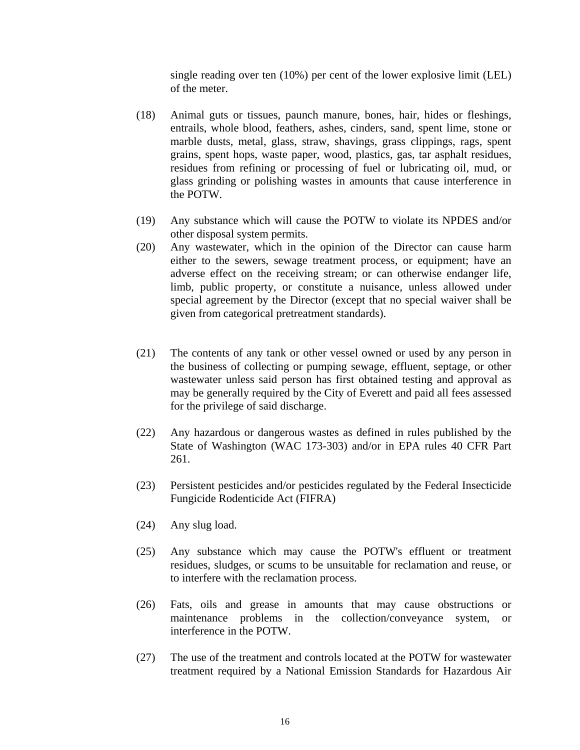single reading over ten (10%) per cent of the lower explosive limit (LEL) of the meter.

- (18) Animal guts or tissues, paunch manure, bones, hair, hides or fleshings, entrails, whole blood, feathers, ashes, cinders, sand, spent lime, stone or marble dusts, metal, glass, straw, shavings, grass clippings, rags, spent grains, spent hops, waste paper, wood, plastics, gas, tar asphalt residues, residues from refining or processing of fuel or lubricating oil, mud, or glass grinding or polishing wastes in amounts that cause interference in the POTW.
- (19) Any substance which will cause the POTW to violate its NPDES and/or other disposal system permits.
- (20) Any wastewater, which in the opinion of the Director can cause harm either to the sewers, sewage treatment process, or equipment; have an adverse effect on the receiving stream; or can otherwise endanger life, limb, public property, or constitute a nuisance, unless allowed under special agreement by the Director (except that no special waiver shall be given from categorical pretreatment standards).
- (21) The contents of any tank or other vessel owned or used by any person in the business of collecting or pumping sewage, effluent, septage, or other wastewater unless said person has first obtained testing and approval as may be generally required by the City of Everett and paid all fees assessed for the privilege of said discharge.
- (22) Any hazardous or dangerous wastes as defined in rules published by the State of Washington (WAC 173-303) and/or in EPA rules 40 CFR Part 261.
- (23) Persistent pesticides and/or pesticides regulated by the Federal Insecticide Fungicide Rodenticide Act (FIFRA)
- (24) Any slug load.
- (25) Any substance which may cause the POTW's effluent or treatment residues, sludges, or scums to be unsuitable for reclamation and reuse, or to interfere with the reclamation process.
- (26) Fats, oils and grease in amounts that may cause obstructions or maintenance problems in the collection/conveyance system, or interference in the POTW.
- (27) The use of the treatment and controls located at the POTW for wastewater treatment required by a National Emission Standards for Hazardous Air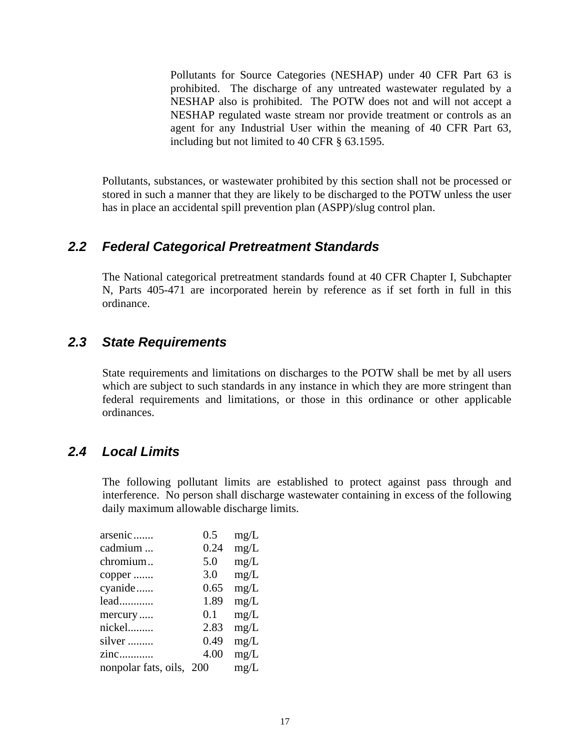<span id="page-20-0"></span>Pollutants for Source Categories (NESHAP) under 40 CFR Part 63 is prohibited. The discharge of any untreated wastewater regulated by a NESHAP also is prohibited. The POTW does not and will not accept a NESHAP regulated waste stream nor provide treatment or controls as an agent for any Industrial User within the meaning of 40 CFR Part 63, including but not limited to 40 CFR § 63.1595.

Pollutants, substances, or wastewater prohibited by this section shall not be processed or stored in such a manner that they are likely to be discharged to the POTW unless the user has in place an accidental spill prevention plan (ASPP)/slug control plan.

#### *2.2 Federal Categorical Pretreatment Standards*

 The National categorical pretreatment standards found at 40 CFR Chapter I, Subchapter N, Parts 405-471 are incorporated herein by reference as if set forth in full in this ordinance.

#### *2.3 State Requirements*

 State requirements and limitations on discharges to the POTW shall be met by all users which are subject to such standards in any instance in which they are more stringent than federal requirements and limitations, or those in this ordinance or other applicable ordinances.

#### *2.4 Local Limits*

 The following pollutant limits are established to protect against pass through and interference. No person shall discharge wastewater containing in excess of the following daily maximum allowable discharge limits.

| arsenic              | $0.5\,$ | mg/L |
|----------------------|---------|------|
| cadmium              | 0.24    | mg/L |
| chromium             | 5.0     | mg/L |
| copper               | 3.0     | mg/L |
| cyanide              | 0.65    | mg/L |
| lead                 | 1.89    | mg/L |
| mercury              | 0.1     | mg/L |
| nickel               | 2.83    | mg/L |
| silver               | 0.49    | mg/L |
| zinc                 | 4.00    | mg/L |
| nonpolar fats, oils, | 200     | mg/L |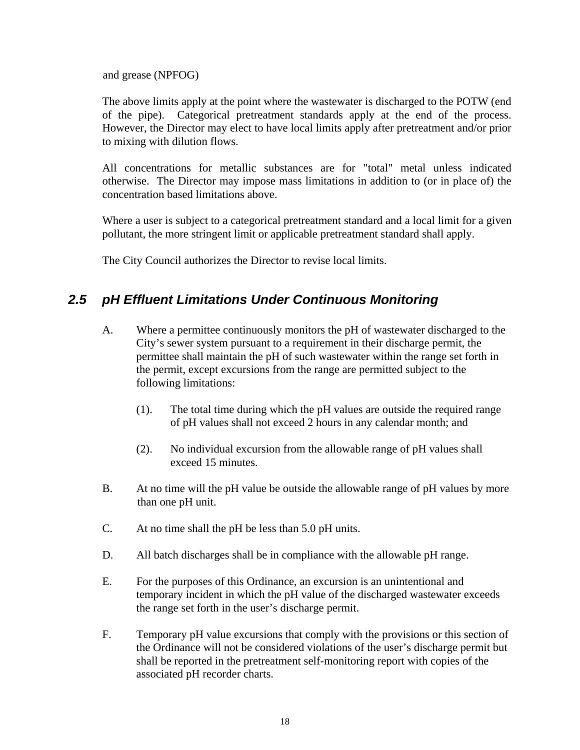<span id="page-21-0"></span>and grease (NPFOG)

 The above limits apply at the point where the wastewater is discharged to the POTW (end of the pipe). Categorical pretreatment standards apply at the end of the process. However, the Director may elect to have local limits apply after pretreatment and/or prior to mixing with dilution flows.

All concentrations for metallic substances are for "total" metal unless indicated otherwise. The Director may impose mass limitations in addition to (or in place of) the concentration based limitations above.

Where a user is subject to a categorical pretreatment standard and a local limit for a given pollutant, the more stringent limit or applicable pretreatment standard shall apply.

The City Council authorizes the Director to revise local limits.

## *2.5 pH Effluent Limitations Under Continuous Monitoring*

- A. Where a permittee continuously monitors the pH of wastewater discharged to the City's sewer system pursuant to a requirement in their discharge permit, the permittee shall maintain the pH of such wastewater within the range set forth in the permit, except excursions from the range are permitted subject to the following limitations:
	- (1). The total time during which the pH values are outside the required range of pH values shall not exceed 2 hours in any calendar month; and
	- (2). No individual excursion from the allowable range of pH values shall exceed 15 minutes.
- B. At no time will the pH value be outside the allowable range of pH values by more than one pH unit.
- C. At no time shall the pH be less than 5.0 pH units.
- D. All batch discharges shall be in compliance with the allowable pH range.
- E. For the purposes of this Ordinance, an excursion is an unintentional and temporary incident in which the pH value of the discharged wastewater exceeds the range set forth in the user's discharge permit.
- F. Temporary pH value excursions that comply with the provisions or this section of the Ordinance will not be considered violations of the user's discharge permit but shall be reported in the pretreatment self-monitoring report with copies of the associated pH recorder charts.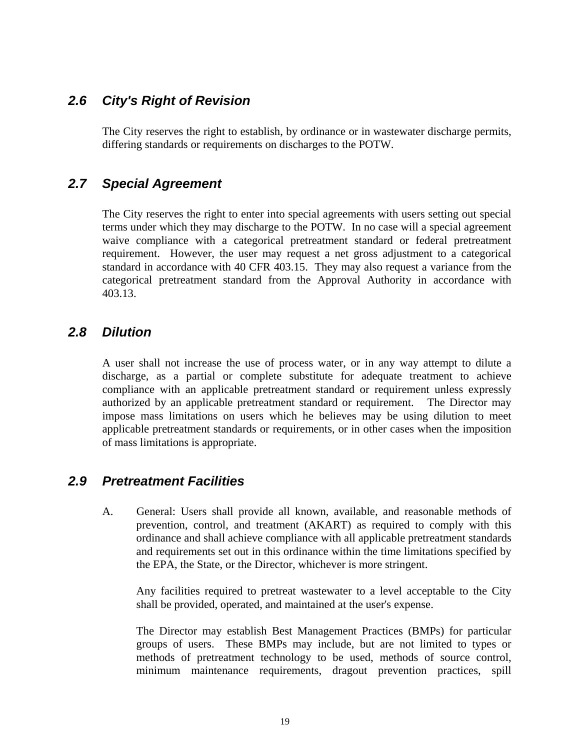### <span id="page-22-0"></span>*2.6 City's Right of Revision*

 The City reserves the right to establish, by ordinance or in wastewater discharge permits, differing standards or requirements on discharges to the POTW.

### *2.7 Special Agreement*

 The City reserves the right to enter into special agreements with users setting out special terms under which they may discharge to the POTW. In no case will a special agreement waive compliance with a categorical pretreatment standard or federal pretreatment requirement. However, the user may request a net gross adjustment to a categorical standard in accordance with 40 CFR 403.15. They may also request a variance from the categorical pretreatment standard from the Approval Authority in accordance with 403.13.

#### *2.8 Dilution*

 A user shall not increase the use of process water, or in any way attempt to dilute a discharge, as a partial or complete substitute for adequate treatment to achieve compliance with an applicable pretreatment standard or requirement unless expressly authorized by an applicable pretreatment standard or requirement. The Director may impose mass limitations on users which he believes may be using dilution to meet applicable pretreatment standards or requirements, or in other cases when the imposition of mass limitations is appropriate.

#### *2.9 Pretreatment Facilities*

 A. General: Users shall provide all known, available, and reasonable methods of prevention, control, and treatment (AKART) as required to comply with this ordinance and shall achieve compliance with all applicable pretreatment standards and requirements set out in this ordinance within the time limitations specified by the EPA, the State, or the Director, whichever is more stringent.

 Any facilities required to pretreat wastewater to a level acceptable to the City shall be provided, operated, and maintained at the user's expense.

 The Director may establish Best Management Practices (BMPs) for particular groups of users. These BMPs may include, but are not limited to types or methods of pretreatment technology to be used, methods of source control, minimum maintenance requirements, dragout prevention practices, spill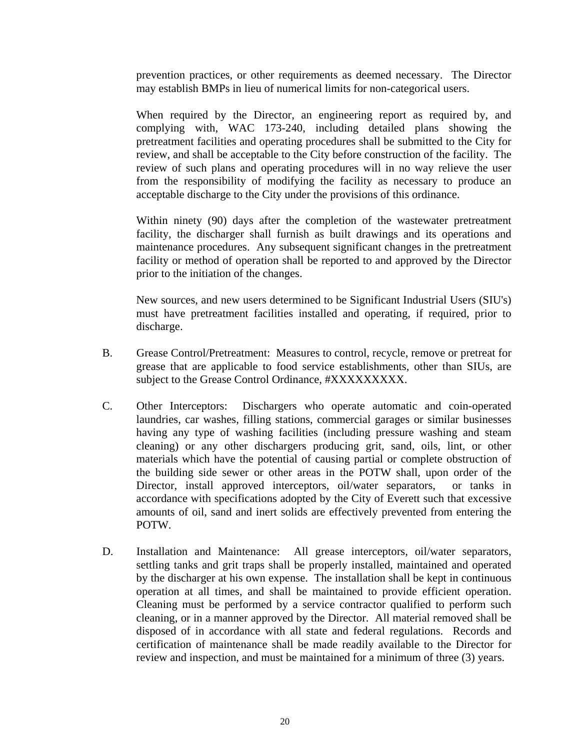prevention practices, or other requirements as deemed necessary. The Director may establish BMPs in lieu of numerical limits for non-categorical users.

 When required by the Director, an engineering report as required by, and complying with, WAC 173-240, including detailed plans showing the pretreatment facilities and operating procedures shall be submitted to the City for review, and shall be acceptable to the City before construction of the facility. The review of such plans and operating procedures will in no way relieve the user from the responsibility of modifying the facility as necessary to produce an acceptable discharge to the City under the provisions of this ordinance.

 Within ninety (90) days after the completion of the wastewater pretreatment facility, the discharger shall furnish as built drawings and its operations and maintenance procedures. Any subsequent significant changes in the pretreatment facility or method of operation shall be reported to and approved by the Director prior to the initiation of the changes.

 New sources, and new users determined to be Significant Industrial Users (SIU's) must have pretreatment facilities installed and operating, if required, prior to discharge.

- B. Grease Control/Pretreatment: Measures to control, recycle, remove or pretreat for grease that are applicable to food service establishments, other than SIUs, are subject to the Grease Control Ordinance, #XXXXXXXXX.
- C. Other Interceptors: Dischargers who operate automatic and coin-operated laundries, car washes, filling stations, commercial garages or similar businesses having any type of washing facilities (including pressure washing and steam cleaning) or any other dischargers producing grit, sand, oils, lint, or other materials which have the potential of causing partial or complete obstruction of the building side sewer or other areas in the POTW shall, upon order of the Director, install approved interceptors, oil/water separators, or tanks in accordance with specifications adopted by the City of Everett such that excessive amounts of oil, sand and inert solids are effectively prevented from entering the POTW.
- D. Installation and Maintenance: All grease interceptors, oil/water separators, settling tanks and grit traps shall be properly installed, maintained and operated by the discharger at his own expense. The installation shall be kept in continuous operation at all times, and shall be maintained to provide efficient operation. Cleaning must be performed by a service contractor qualified to perform such cleaning, or in a manner approved by the Director. All material removed shall be disposed of in accordance with all state and federal regulations. Records and certification of maintenance shall be made readily available to the Director for review and inspection, and must be maintained for a minimum of three (3) years.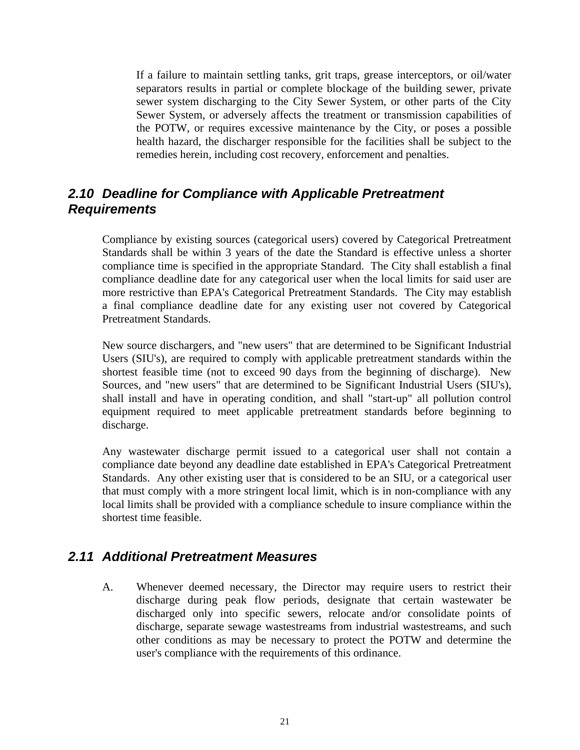<span id="page-24-0"></span> If a failure to maintain settling tanks, grit traps, grease interceptors, or oil/water separators results in partial or complete blockage of the building sewer, private sewer system discharging to the City Sewer System, or other parts of the City Sewer System, or adversely affects the treatment or transmission capabilities of the POTW, or requires excessive maintenance by the City, or poses a possible health hazard, the discharger responsible for the facilities shall be subject to the remedies herein, including cost recovery, enforcement and penalties.

### *2.10 Deadline for Compliance with Applicable Pretreatment Requirements*

Compliance by existing sources (categorical users) covered by Categorical Pretreatment Standards shall be within 3 years of the date the Standard is effective unless a shorter compliance time is specified in the appropriate Standard. The City shall establish a final compliance deadline date for any categorical user when the local limits for said user are more restrictive than EPA's Categorical Pretreatment Standards. The City may establish a final compliance deadline date for any existing user not covered by Categorical Pretreatment Standards.

New source dischargers, and "new users" that are determined to be Significant Industrial Users (SIU's), are required to comply with applicable pretreatment standards within the shortest feasible time (not to exceed 90 days from the beginning of discharge). New Sources, and "new users" that are determined to be Significant Industrial Users (SIU's), shall install and have in operating condition, and shall "start-up" all pollution control equipment required to meet applicable pretreatment standards before beginning to discharge.

Any wastewater discharge permit issued to a categorical user shall not contain a compliance date beyond any deadline date established in EPA's Categorical Pretreatment Standards. Any other existing user that is considered to be an SIU, or a categorical user that must comply with a more stringent local limit, which is in non-compliance with any local limits shall be provided with a compliance schedule to insure compliance within the shortest time feasible.

#### *2.11 Additional Pretreatment Measures*

 A. Whenever deemed necessary, the Director may require users to restrict their discharge during peak flow periods, designate that certain wastewater be discharged only into specific sewers, relocate and/or consolidate points of discharge, separate sewage wastestreams from industrial wastestreams, and such other conditions as may be necessary to protect the POTW and determine the user's compliance with the requirements of this ordinance.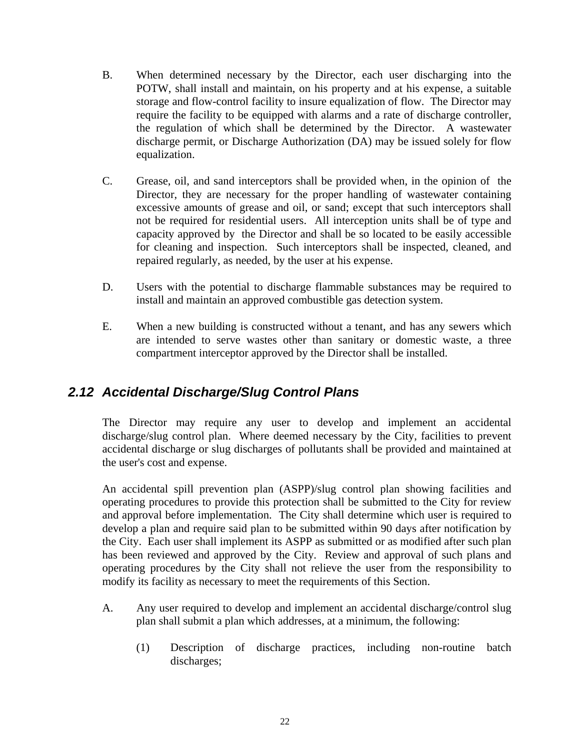- <span id="page-25-0"></span> B. When determined necessary by the Director, each user discharging into the POTW, shall install and maintain, on his property and at his expense, a suitable storage and flow-control facility to insure equalization of flow. The Director may require the facility to be equipped with alarms and a rate of discharge controller, the regulation of which shall be determined by the Director. A wastewater discharge permit, or Discharge Authorization (DA) may be issued solely for flow equalization.
- C. Grease, oil, and sand interceptors shall be provided when, in the opinion of the Director, they are necessary for the proper handling of wastewater containing excessive amounts of grease and oil, or sand; except that such interceptors shall not be required for residential users. All interception units shall be of type and capacity approved by the Director and shall be so located to be easily accessible for cleaning and inspection. Such interceptors shall be inspected, cleaned, and repaired regularly, as needed, by the user at his expense.
- D. Users with the potential to discharge flammable substances may be required to install and maintain an approved combustible gas detection system.
- E. When a new building is constructed without a tenant, and has any sewers which are intended to serve wastes other than sanitary or domestic waste, a three compartment interceptor approved by the Director shall be installed.

### *2.12 Accidental Discharge/Slug Control Plans*

The Director may require any user to develop and implement an accidental discharge/slug control plan. Where deemed necessary by the City, facilities to prevent accidental discharge or slug discharges of pollutants shall be provided and maintained at the user's cost and expense.

An accidental spill prevention plan (ASPP)/slug control plan showing facilities and operating procedures to provide this protection shall be submitted to the City for review and approval before implementation. The City shall determine which user is required to develop a plan and require said plan to be submitted within 90 days after notification by the City. Each user shall implement its ASPP as submitted or as modified after such plan has been reviewed and approved by the City. Review and approval of such plans and operating procedures by the City shall not relieve the user from the responsibility to modify its facility as necessary to meet the requirements of this Section.

- A. Any user required to develop and implement an accidental discharge/control slug plan shall submit a plan which addresses, at a minimum, the following:
	- (1) Description of discharge practices, including non-routine batch discharges;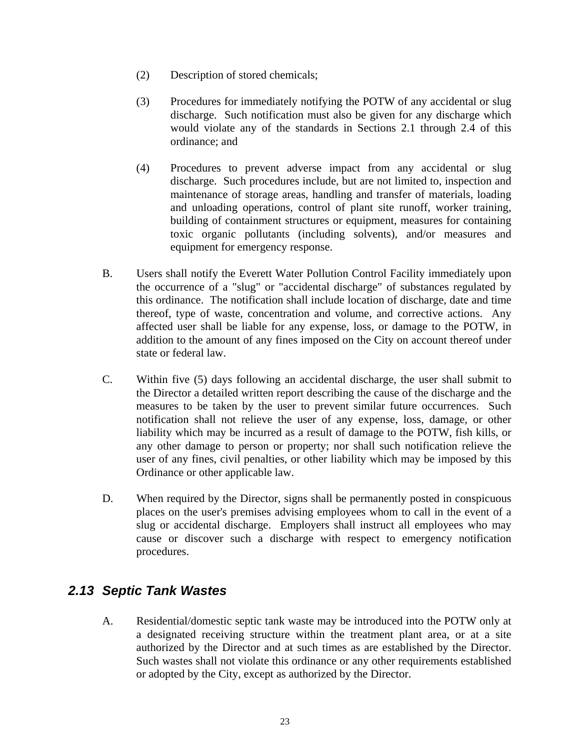- <span id="page-26-0"></span>(2) Description of stored chemicals;
- (3) Procedures for immediately notifying the POTW of any accidental or slug discharge. Such notification must also be given for any discharge which would violate any of the standards in Sections 2.1 through 2.4 of this ordinance; and
- (4) Procedures to prevent adverse impact from any accidental or slug discharge. Such procedures include, but are not limited to, inspection and maintenance of storage areas, handling and transfer of materials, loading and unloading operations, control of plant site runoff, worker training, building of containment structures or equipment, measures for containing toxic organic pollutants (including solvents), and/or measures and equipment for emergency response.
- B. Users shall notify the Everett Water Pollution Control Facility immediately upon the occurrence of a "slug" or "accidental discharge" of substances regulated by this ordinance. The notification shall include location of discharge, date and time thereof, type of waste, concentration and volume, and corrective actions. Any affected user shall be liable for any expense, loss, or damage to the POTW, in addition to the amount of any fines imposed on the City on account thereof under state or federal law.
- C. Within five (5) days following an accidental discharge, the user shall submit to the Director a detailed written report describing the cause of the discharge and the measures to be taken by the user to prevent similar future occurrences. Such notification shall not relieve the user of any expense, loss, damage, or other liability which may be incurred as a result of damage to the POTW, fish kills, or any other damage to person or property; nor shall such notification relieve the user of any fines, civil penalties, or other liability which may be imposed by this Ordinance or other applicable law.
- D. When required by the Director, signs shall be permanently posted in conspicuous places on the user's premises advising employees whom to call in the event of a slug or accidental discharge. Employers shall instruct all employees who may cause or discover such a discharge with respect to emergency notification procedures.

### *2.13 Septic Tank Wastes*

 A. Residential/domestic septic tank waste may be introduced into the POTW only at a designated receiving structure within the treatment plant area, or at a site authorized by the Director and at such times as are established by the Director. Such wastes shall not violate this ordinance or any other requirements established or adopted by the City, except as authorized by the Director.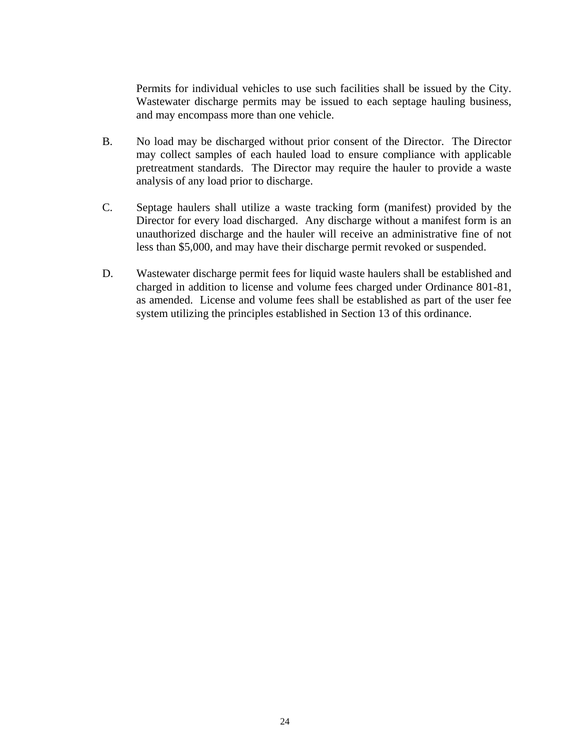Permits for individual vehicles to use such facilities shall be issued by the City. Wastewater discharge permits may be issued to each septage hauling business, and may encompass more than one vehicle.

- B. No load may be discharged without prior consent of the Director. The Director may collect samples of each hauled load to ensure compliance with applicable pretreatment standards. The Director may require the hauler to provide a waste analysis of any load prior to discharge.
- C. Septage haulers shall utilize a waste tracking form (manifest) provided by the Director for every load discharged. Any discharge without a manifest form is an unauthorized discharge and the hauler will receive an administrative fine of not less than \$5,000, and may have their discharge permit revoked or suspended.
- D. Wastewater discharge permit fees for liquid waste haulers shall be established and charged in addition to license and volume fees charged under Ordinance 801-81, as amended. License and volume fees shall be established as part of the user fee system utilizing the principles established in Section 13 of this ordinance.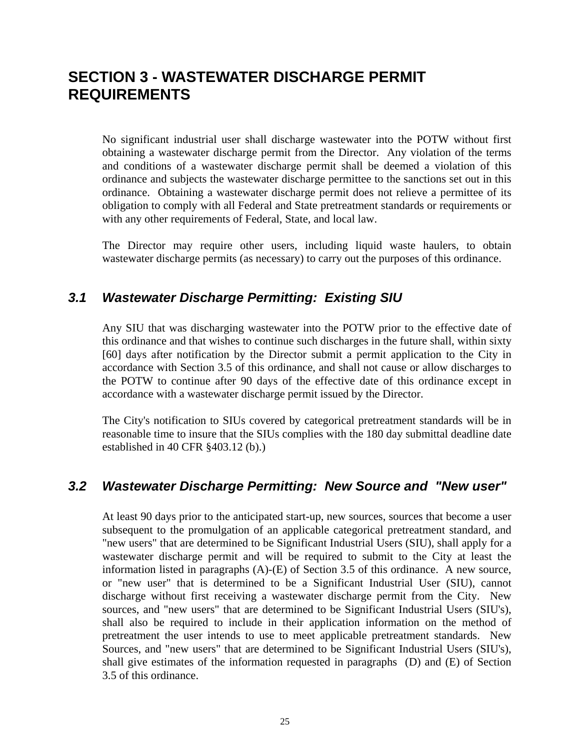## <span id="page-28-0"></span>**SECTION 3 - WASTEWATER DISCHARGE PERMIT REQUIREMENTS**

No significant industrial user shall discharge wastewater into the POTW without first obtaining a wastewater discharge permit from the Director. Any violation of the terms and conditions of a wastewater discharge permit shall be deemed a violation of this ordinance and subjects the wastewater discharge permittee to the sanctions set out in this ordinance. Obtaining a wastewater discharge permit does not relieve a permittee of its obligation to comply with all Federal and State pretreatment standards or requirements or with any other requirements of Federal, State, and local law.

The Director may require other users, including liquid waste haulers, to obtain wastewater discharge permits (as necessary) to carry out the purposes of this ordinance.

### *3.1 Wastewater Discharge Permitting: Existing SIU*

Any SIU that was discharging wastewater into the POTW prior to the effective date of this ordinance and that wishes to continue such discharges in the future shall, within sixty [60] days after notification by the Director submit a permit application to the City in accordance with Section 3.5 of this ordinance, and shall not cause or allow discharges to the POTW to continue after 90 days of the effective date of this ordinance except in accordance with a wastewater discharge permit issued by the Director.

The City's notification to SIUs covered by categorical pretreatment standards will be in reasonable time to insure that the SIUs complies with the 180 day submittal deadline date established in 40 CFR §403.12 (b).)

#### *3.2 Wastewater Discharge Permitting: New Source and "New user"*

At least 90 days prior to the anticipated start-up, new sources, sources that become a user subsequent to the promulgation of an applicable categorical pretreatment standard, and "new users" that are determined to be Significant Industrial Users (SIU), shall apply for a wastewater discharge permit and will be required to submit to the City at least the information listed in paragraphs (A)-(E) of Section 3.5 of this ordinance. A new source, or "new user" that is determined to be a Significant Industrial User (SIU), cannot discharge without first receiving a wastewater discharge permit from the City. New sources, and "new users" that are determined to be Significant Industrial Users (SIU's), shall also be required to include in their application information on the method of pretreatment the user intends to use to meet applicable pretreatment standards. New Sources, and "new users" that are determined to be Significant Industrial Users (SIU's), shall give estimates of the information requested in paragraphs (D) and (E) of Section 3.5 of this ordinance.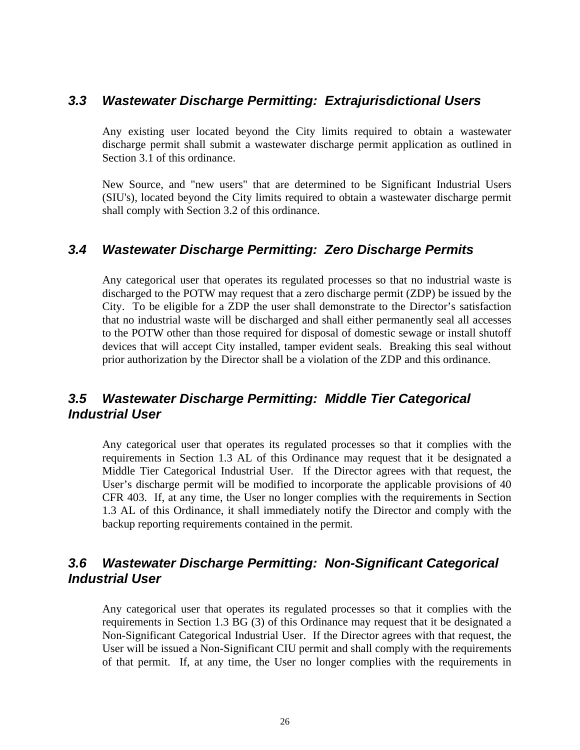#### <span id="page-29-0"></span>*3.3 Wastewater Discharge Permitting: Extrajurisdictional Users*

Any existing user located beyond the City limits required to obtain a wastewater discharge permit shall submit a wastewater discharge permit application as outlined in Section 3.1 of this ordinance.

New Source, and "new users" that are determined to be Significant Industrial Users (SIU's), located beyond the City limits required to obtain a wastewater discharge permit shall comply with Section 3.2 of this ordinance.

#### *3.4 Wastewater Discharge Permitting: Zero Discharge Permits*

Any categorical user that operates its regulated processes so that no industrial waste is discharged to the POTW may request that a zero discharge permit (ZDP) be issued by the City. To be eligible for a ZDP the user shall demonstrate to the Director's satisfaction that no industrial waste will be discharged and shall either permanently seal all accesses to the POTW other than those required for disposal of domestic sewage or install shutoff devices that will accept City installed, tamper evident seals. Breaking this seal without prior authorization by the Director shall be a violation of the ZDP and this ordinance.

### *3.5 Wastewater Discharge Permitting: Middle Tier Categorical Industrial User*

Any categorical user that operates its regulated processes so that it complies with the requirements in Section 1.3 AL of this Ordinance may request that it be designated a Middle Tier Categorical Industrial User. If the Director agrees with that request, the User's discharge permit will be modified to incorporate the applicable provisions of 40 CFR 403. If, at any time, the User no longer complies with the requirements in Section 1.3 AL of this Ordinance, it shall immediately notify the Director and comply with the backup reporting requirements contained in the permit.

### *3.6 Wastewater Discharge Permitting: Non-Significant Categorical Industrial User*

Any categorical user that operates its regulated processes so that it complies with the requirements in Section 1.3 BG (3) of this Ordinance may request that it be designated a Non-Significant Categorical Industrial User. If the Director agrees with that request, the User will be issued a Non-Significant CIU permit and shall comply with the requirements of that permit. If, at any time, the User no longer complies with the requirements in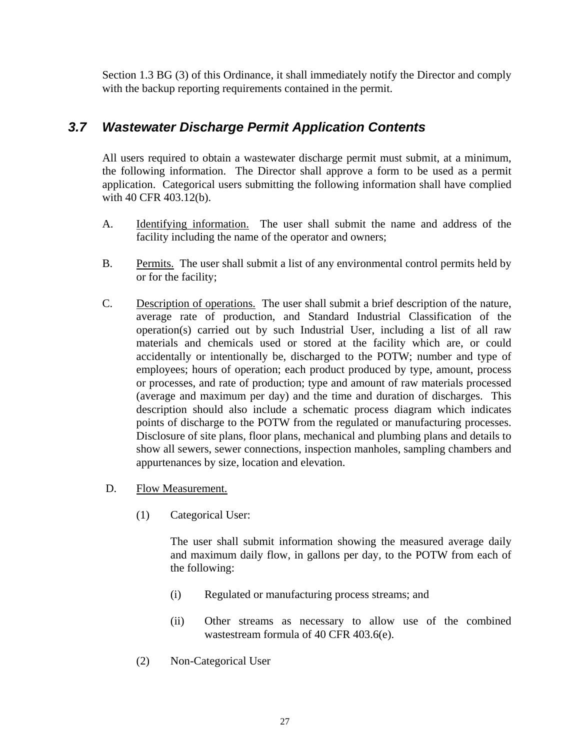<span id="page-30-0"></span>Section 1.3 BG (3) of this Ordinance, it shall immediately notify the Director and comply with the backup reporting requirements contained in the permit.

## *3.7 Wastewater Discharge Permit Application Contents*

All users required to obtain a wastewater discharge permit must submit, at a minimum, the following information. The Director shall approve a form to be used as a permit application. Categorical users submitting the following information shall have complied with 40 CFR 403.12(b).

- A. Identifying information. The user shall submit the name and address of the facility including the name of the operator and owners;
- B. Permits. The user shall submit a list of any environmental control permits held by or for the facility;
- C. Description of operations. The user shall submit a brief description of the nature, average rate of production, and Standard Industrial Classification of the operation(s) carried out by such Industrial User, including a list of all raw materials and chemicals used or stored at the facility which are, or could accidentally or intentionally be, discharged to the POTW; number and type of employees; hours of operation; each product produced by type, amount, process or processes, and rate of production; type and amount of raw materials processed (average and maximum per day) and the time and duration of discharges. This description should also include a schematic process diagram which indicates points of discharge to the POTW from the regulated or manufacturing processes. Disclosure of site plans, floor plans, mechanical and plumbing plans and details to show all sewers, sewer connections, inspection manholes, sampling chambers and appurtenances by size, location and elevation.
- D. Flow Measurement.
	- (1) Categorical User:

The user shall submit information showing the measured average daily and maximum daily flow, in gallons per day, to the POTW from each of the following:

- (i) Regulated or manufacturing process streams; and
- (ii) Other streams as necessary to allow use of the combined wastestream formula of 40 CFR 403.6(e).
- (2) Non-Categorical User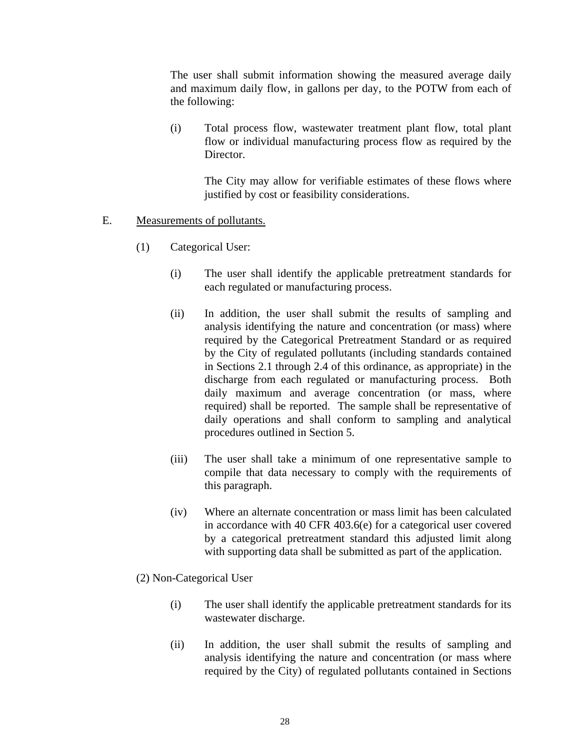The user shall submit information showing the measured average daily and maximum daily flow, in gallons per day, to the POTW from each of the following:

 (i) Total process flow, wastewater treatment plant flow, total plant flow or individual manufacturing process flow as required by the Director.

The City may allow for verifiable estimates of these flows where justified by cost or feasibility considerations.

#### E. Measurements of pollutants.

- (1) Categorical User:
	- (i) The user shall identify the applicable pretreatment standards for each regulated or manufacturing process.
	- (ii) In addition, the user shall submit the results of sampling and analysis identifying the nature and concentration (or mass) where required by the Categorical Pretreatment Standard or as required by the City of regulated pollutants (including standards contained in Sections 2.1 through 2.4 of this ordinance, as appropriate) in the discharge from each regulated or manufacturing process. Both daily maximum and average concentration (or mass, where required) shall be reported. The sample shall be representative of daily operations and shall conform to sampling and analytical procedures outlined in Section 5.
	- (iii) The user shall take a minimum of one representative sample to compile that data necessary to comply with the requirements of this paragraph.
	- (iv) Where an alternate concentration or mass limit has been calculated in accordance with 40 CFR 403.6(e) for a categorical user covered by a categorical pretreatment standard this adjusted limit along with supporting data shall be submitted as part of the application.
- (2) Non-Categorical User
	- (i) The user shall identify the applicable pretreatment standards for its wastewater discharge.
	- (ii) In addition, the user shall submit the results of sampling and analysis identifying the nature and concentration (or mass where required by the City) of regulated pollutants contained in Sections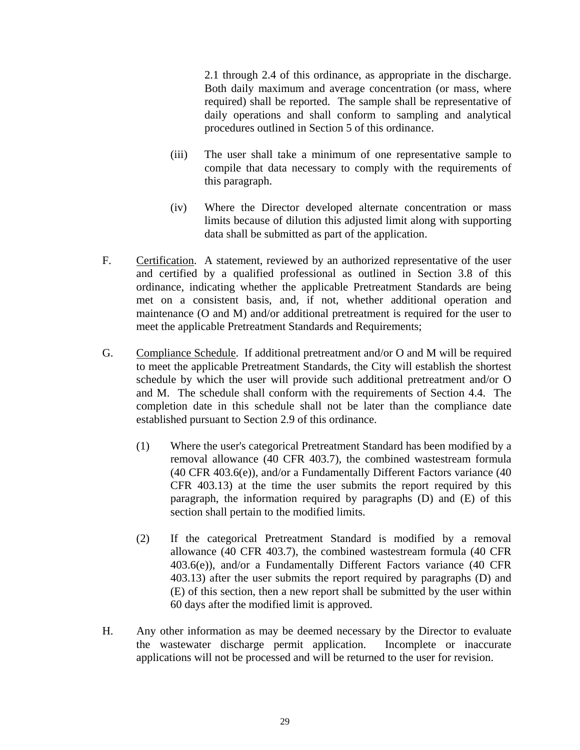2.1 through 2.4 of this ordinance, as appropriate in the discharge. Both daily maximum and average concentration (or mass, where required) shall be reported. The sample shall be representative of daily operations and shall conform to sampling and analytical procedures outlined in Section 5 of this ordinance.

- (iii) The user shall take a minimum of one representative sample to compile that data necessary to comply with the requirements of this paragraph.
- (iv) Where the Director developed alternate concentration or mass limits because of dilution this adjusted limit along with supporting data shall be submitted as part of the application.
- F. Certification. A statement, reviewed by an authorized representative of the user and certified by a qualified professional as outlined in Section 3.8 of this ordinance, indicating whether the applicable Pretreatment Standards are being met on a consistent basis, and, if not, whether additional operation and maintenance (O and M) and/or additional pretreatment is required for the user to meet the applicable Pretreatment Standards and Requirements;
- G. Compliance Schedule. If additional pretreatment and/or O and M will be required to meet the applicable Pretreatment Standards, the City will establish the shortest schedule by which the user will provide such additional pretreatment and/or O and M. The schedule shall conform with the requirements of Section 4.4. The completion date in this schedule shall not be later than the compliance date established pursuant to Section 2.9 of this ordinance.
	- (1) Where the user's categorical Pretreatment Standard has been modified by a removal allowance (40 CFR 403.7), the combined wastestream formula (40 CFR 403.6(e)), and/or a Fundamentally Different Factors variance (40 CFR 403.13) at the time the user submits the report required by this paragraph, the information required by paragraphs (D) and (E) of this section shall pertain to the modified limits.
	- (2) If the categorical Pretreatment Standard is modified by a removal allowance (40 CFR 403.7), the combined wastestream formula (40 CFR 403.6(e)), and/or a Fundamentally Different Factors variance (40 CFR 403.13) after the user submits the report required by paragraphs (D) and (E) of this section, then a new report shall be submitted by the user within 60 days after the modified limit is approved.
- H. Any other information as may be deemed necessary by the Director to evaluate the wastewater discharge permit application. Incomplete or inaccurate applications will not be processed and will be returned to the user for revision.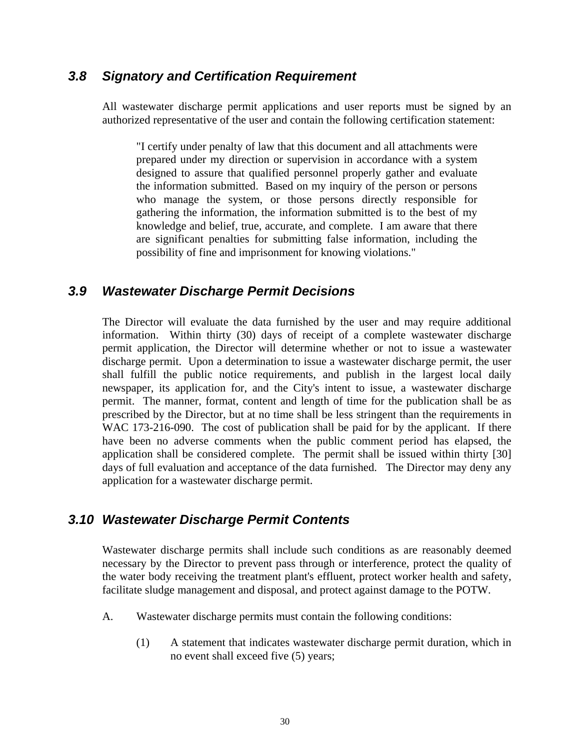#### <span id="page-33-0"></span>*3.8 Signatory and Certification Requirement*

 All wastewater discharge permit applications and user reports must be signed by an authorized representative of the user and contain the following certification statement:

"I certify under penalty of law that this document and all attachments were prepared under my direction or supervision in accordance with a system designed to assure that qualified personnel properly gather and evaluate the information submitted. Based on my inquiry of the person or persons who manage the system, or those persons directly responsible for gathering the information, the information submitted is to the best of my knowledge and belief, true, accurate, and complete. I am aware that there are significant penalties for submitting false information, including the possibility of fine and imprisonment for knowing violations."

#### *3.9 Wastewater Discharge Permit Decisions*

 The Director will evaluate the data furnished by the user and may require additional information. Within thirty (30) days of receipt of a complete wastewater discharge permit application, the Director will determine whether or not to issue a wastewater discharge permit. Upon a determination to issue a wastewater discharge permit, the user shall fulfill the public notice requirements, and publish in the largest local daily newspaper, its application for, and the City's intent to issue, a wastewater discharge permit. The manner, format, content and length of time for the publication shall be as prescribed by the Director, but at no time shall be less stringent than the requirements in WAC 173-216-090. The cost of publication shall be paid for by the applicant. If there have been no adverse comments when the public comment period has elapsed, the application shall be considered complete. The permit shall be issued within thirty [30] days of full evaluation and acceptance of the data furnished. The Director may deny any application for a wastewater discharge permit.

#### *3.10 Wastewater Discharge Permit Contents*

 Wastewater discharge permits shall include such conditions as are reasonably deemed necessary by the Director to prevent pass through or interference, protect the quality of the water body receiving the treatment plant's effluent, protect worker health and safety, facilitate sludge management and disposal, and protect against damage to the POTW.

- A. Wastewater discharge permits must contain the following conditions:
	- (1) A statement that indicates wastewater discharge permit duration, which in no event shall exceed five (5) years;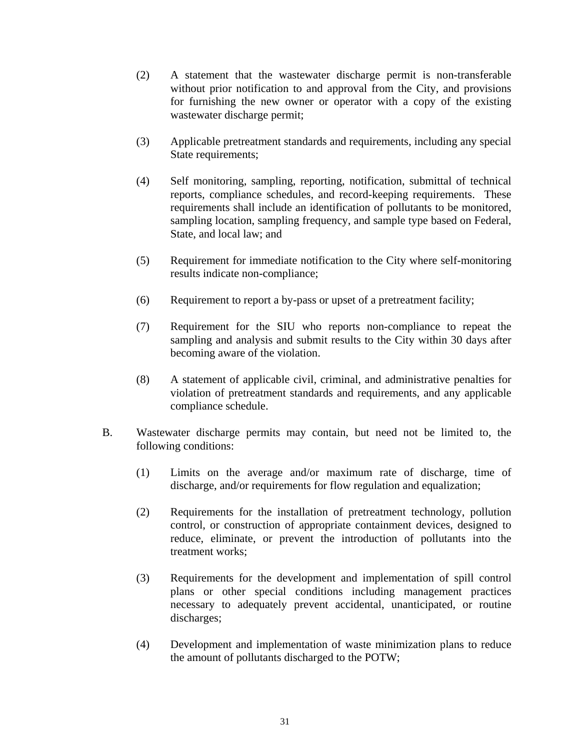- (2) A statement that the wastewater discharge permit is non-transferable without prior notification to and approval from the City, and provisions for furnishing the new owner or operator with a copy of the existing wastewater discharge permit;
- (3) Applicable pretreatment standards and requirements, including any special State requirements;
- (4) Self monitoring, sampling, reporting, notification, submittal of technical reports, compliance schedules, and record-keeping requirements. These requirements shall include an identification of pollutants to be monitored, sampling location, sampling frequency, and sample type based on Federal, State, and local law; and
- (5) Requirement for immediate notification to the City where self-monitoring results indicate non-compliance;
- (6) Requirement to report a by-pass or upset of a pretreatment facility;
- (7) Requirement for the SIU who reports non-compliance to repeat the sampling and analysis and submit results to the City within 30 days after becoming aware of the violation.
- (8) A statement of applicable civil, criminal, and administrative penalties for violation of pretreatment standards and requirements, and any applicable compliance schedule.
- B. Wastewater discharge permits may contain, but need not be limited to, the following conditions:
	- (1) Limits on the average and/or maximum rate of discharge, time of discharge, and/or requirements for flow regulation and equalization;
	- (2) Requirements for the installation of pretreatment technology, pollution control, or construction of appropriate containment devices, designed to reduce, eliminate, or prevent the introduction of pollutants into the treatment works;
	- (3) Requirements for the development and implementation of spill control plans or other special conditions including management practices necessary to adequately prevent accidental, unanticipated, or routine discharges;
	- (4) Development and implementation of waste minimization plans to reduce the amount of pollutants discharged to the POTW;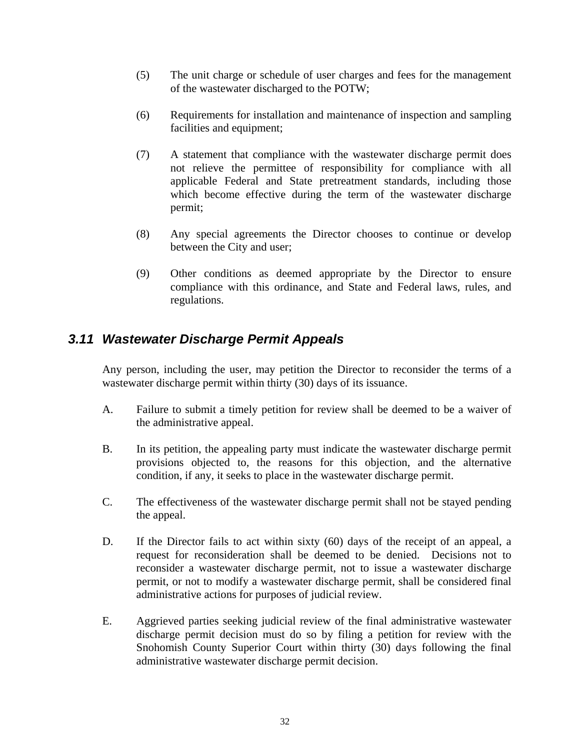- <span id="page-35-0"></span> (5) The unit charge or schedule of user charges and fees for the management of the wastewater discharged to the POTW;
- (6) Requirements for installation and maintenance of inspection and sampling facilities and equipment;
- (7) A statement that compliance with the wastewater discharge permit does not relieve the permittee of responsibility for compliance with all applicable Federal and State pretreatment standards, including those which become effective during the term of the wastewater discharge permit;
- (8) Any special agreements the Director chooses to continue or develop between the City and user;
- (9) Other conditions as deemed appropriate by the Director to ensure compliance with this ordinance, and State and Federal laws, rules, and regulations.

### *3.11 Wastewater Discharge Permit Appeals*

 Any person, including the user, may petition the Director to reconsider the terms of a wastewater discharge permit within thirty (30) days of its issuance.

- A. Failure to submit a timely petition for review shall be deemed to be a waiver of the administrative appeal.
- B. In its petition, the appealing party must indicate the wastewater discharge permit provisions objected to, the reasons for this objection, and the alternative condition, if any, it seeks to place in the wastewater discharge permit.
- C. The effectiveness of the wastewater discharge permit shall not be stayed pending the appeal.
- D. If the Director fails to act within sixty (60) days of the receipt of an appeal, a request for reconsideration shall be deemed to be denied. Decisions not to reconsider a wastewater discharge permit, not to issue a wastewater discharge permit, or not to modify a wastewater discharge permit, shall be considered final administrative actions for purposes of judicial review.
- E. Aggrieved parties seeking judicial review of the final administrative wastewater discharge permit decision must do so by filing a petition for review with the Snohomish County Superior Court within thirty (30) days following the final administrative wastewater discharge permit decision.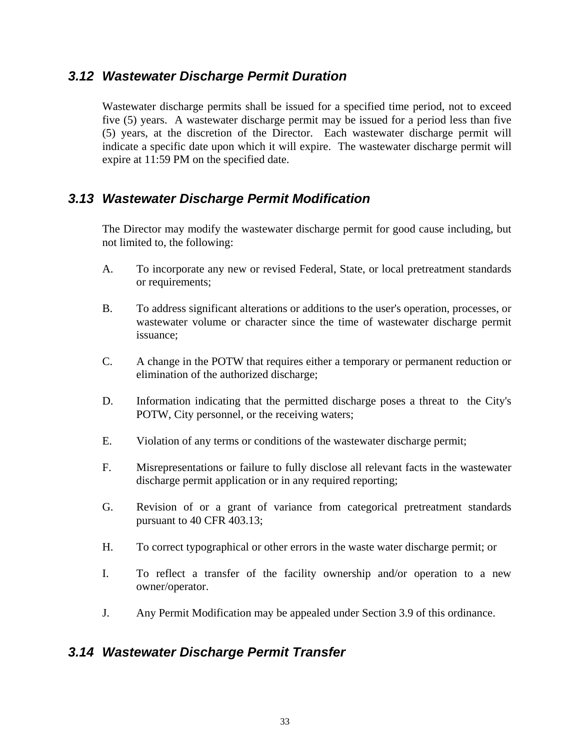#### <span id="page-36-0"></span>*3.12 Wastewater Discharge Permit Duration*

 Wastewater discharge permits shall be issued for a specified time period, not to exceed five (5) years. A wastewater discharge permit may be issued for a period less than five (5) years, at the discretion of the Director. Each wastewater discharge permit will indicate a specific date upon which it will expire. The wastewater discharge permit will expire at 11:59 PM on the specified date.

#### *3.13 Wastewater Discharge Permit Modification*

 The Director may modify the wastewater discharge permit for good cause including, but not limited to, the following:

- A. To incorporate any new or revised Federal, State, or local pretreatment standards or requirements;
- B. To address significant alterations or additions to the user's operation, processes, or wastewater volume or character since the time of wastewater discharge permit issuance;
- C. A change in the POTW that requires either a temporary or permanent reduction or elimination of the authorized discharge;
- D. Information indicating that the permitted discharge poses a threat to the City's POTW, City personnel, or the receiving waters;
- E. Violation of any terms or conditions of the wastewater discharge permit;
- F. Misrepresentations or failure to fully disclose all relevant facts in the wastewater discharge permit application or in any required reporting;
- G. Revision of or a grant of variance from categorical pretreatment standards pursuant to 40 CFR 403.13;
- H. To correct typographical or other errors in the waste water discharge permit; or
- I. To reflect a transfer of the facility ownership and/or operation to a new owner/operator.
- J. Any Permit Modification may be appealed under Section 3.9 of this ordinance.

#### *3.14 Wastewater Discharge Permit Transfer*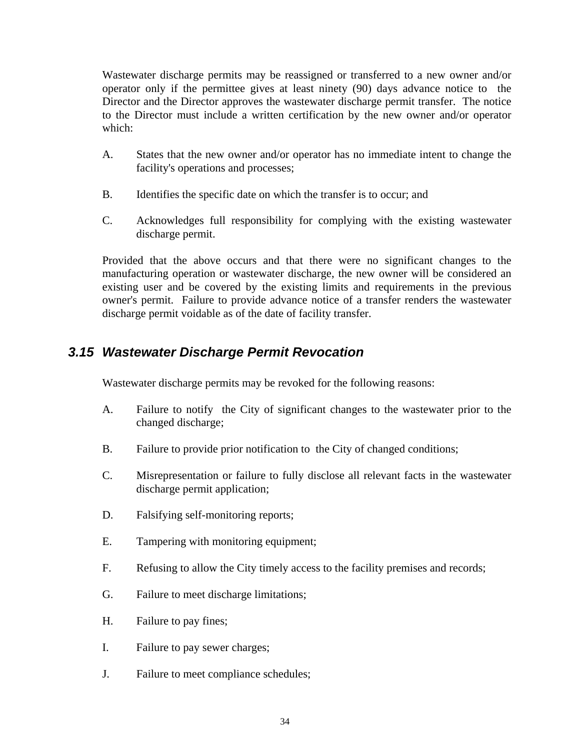<span id="page-37-0"></span> Wastewater discharge permits may be reassigned or transferred to a new owner and/or operator only if the permittee gives at least ninety (90) days advance notice to the Director and the Director approves the wastewater discharge permit transfer. The notice to the Director must include a written certification by the new owner and/or operator which:

- A. States that the new owner and/or operator has no immediate intent to change the facility's operations and processes;
- B. Identifies the specific date on which the transfer is to occur; and
- C. Acknowledges full responsibility for complying with the existing wastewater discharge permit.

 Provided that the above occurs and that there were no significant changes to the manufacturing operation or wastewater discharge, the new owner will be considered an existing user and be covered by the existing limits and requirements in the previous owner's permit. Failure to provide advance notice of a transfer renders the wastewater discharge permit voidable as of the date of facility transfer.

### *3.15 Wastewater Discharge Permit Revocation*

Wastewater discharge permits may be revoked for the following reasons:

- A. Failure to notify the City of significant changes to the wastewater prior to the changed discharge;
- B. Failure to provide prior notification to the City of changed conditions;
- C. Misrepresentation or failure to fully disclose all relevant facts in the wastewater discharge permit application;
- D. Falsifying self-monitoring reports;
- E. Tampering with monitoring equipment;
- F. Refusing to allow the City timely access to the facility premises and records;
- G. Failure to meet discharge limitations;
- H. Failure to pay fines;
- I. Failure to pay sewer charges;
- J. Failure to meet compliance schedules;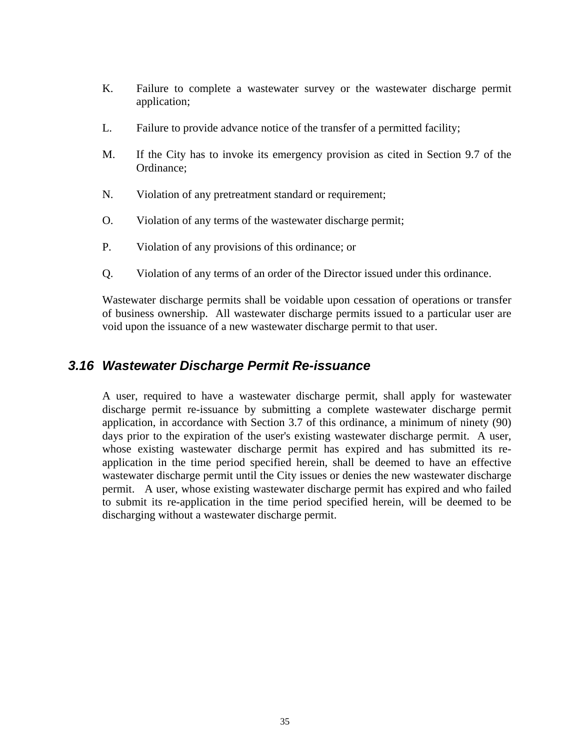- <span id="page-38-0"></span> K. Failure to complete a wastewater survey or the wastewater discharge permit application;
- L. Failure to provide advance notice of the transfer of a permitted facility;
- M. If the City has to invoke its emergency provision as cited in Section 9.7 of the Ordinance;
- N. Violation of any pretreatment standard or requirement;
- O. Violation of any terms of the wastewater discharge permit;
- P. Violation of any provisions of this ordinance; or
- Q. Violation of any terms of an order of the Director issued under this ordinance.

 Wastewater discharge permits shall be voidable upon cessation of operations or transfer of business ownership. All wastewater discharge permits issued to a particular user are void upon the issuance of a new wastewater discharge permit to that user.

#### *3.16 Wastewater Discharge Permit Re-issuance*

 A user, required to have a wastewater discharge permit, shall apply for wastewater discharge permit re-issuance by submitting a complete wastewater discharge permit application, in accordance with Section 3.7 of this ordinance, a minimum of ninety (90) days prior to the expiration of the user's existing wastewater discharge permit. A user, whose existing wastewater discharge permit has expired and has submitted its reapplication in the time period specified herein, shall be deemed to have an effective wastewater discharge permit until the City issues or denies the new wastewater discharge permit. A user, whose existing wastewater discharge permit has expired and who failed to submit its re-application in the time period specified herein, will be deemed to be discharging without a wastewater discharge permit.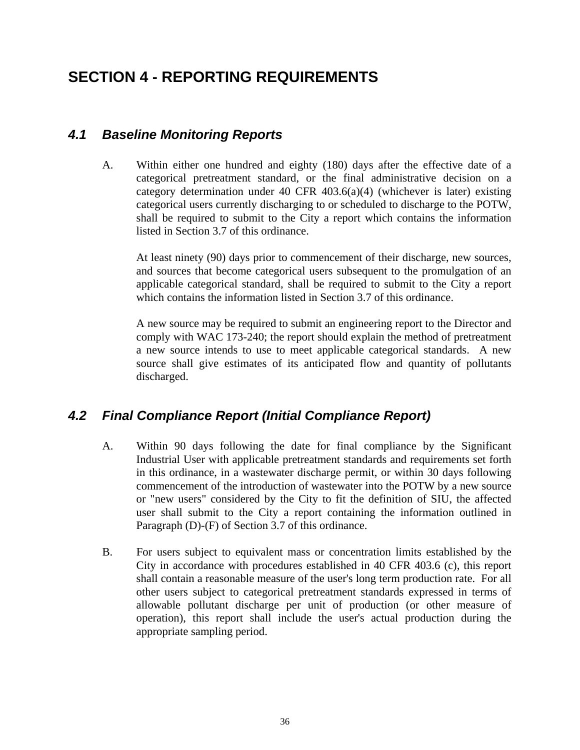# <span id="page-39-0"></span>**SECTION 4 - REPORTING REQUIREMENTS**

## *4.1 Baseline Monitoring Reports*

 A. Within either one hundred and eighty (180) days after the effective date of a categorical pretreatment standard, or the final administrative decision on a category determination under 40 CFR  $403.6(a)(4)$  (whichever is later) existing categorical users currently discharging to or scheduled to discharge to the POTW, shall be required to submit to the City a report which contains the information listed in Section 3.7 of this ordinance.

At least ninety (90) days prior to commencement of their discharge, new sources, and sources that become categorical users subsequent to the promulgation of an applicable categorical standard, shall be required to submit to the City a report which contains the information listed in Section 3.7 of this ordinance.

A new source may be required to submit an engineering report to the Director and comply with WAC 173-240; the report should explain the method of pretreatment a new source intends to use to meet applicable categorical standards. A new source shall give estimates of its anticipated flow and quantity of pollutants discharged.

## *4.2 Final Compliance Report (Initial Compliance Report)*

- A. Within 90 days following the date for final compliance by the Significant Industrial User with applicable pretreatment standards and requirements set forth in this ordinance, in a wastewater discharge permit, or within 30 days following commencement of the introduction of wastewater into the POTW by a new source or "new users" considered by the City to fit the definition of SIU, the affected user shall submit to the City a report containing the information outlined in Paragraph (D)-(F) of Section 3.7 of this ordinance.
- B. For users subject to equivalent mass or concentration limits established by the City in accordance with procedures established in 40 CFR 403.6 (c), this report shall contain a reasonable measure of the user's long term production rate. For all other users subject to categorical pretreatment standards expressed in terms of allowable pollutant discharge per unit of production (or other measure of operation), this report shall include the user's actual production during the appropriate sampling period.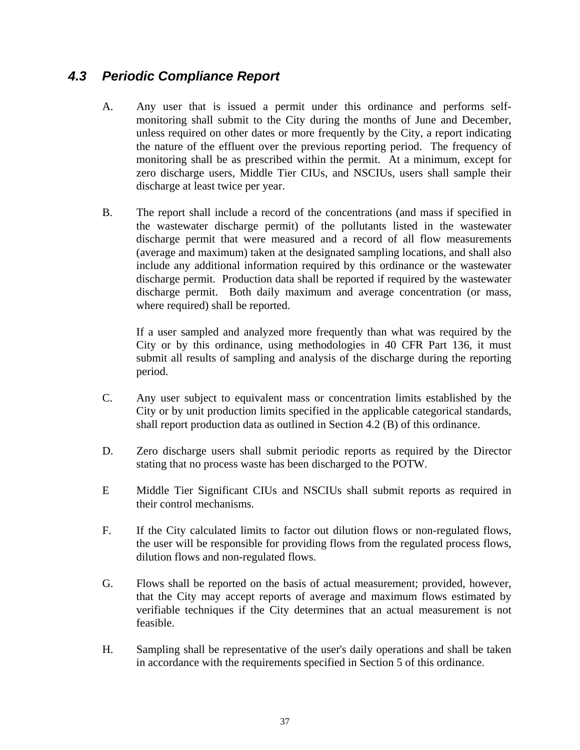## <span id="page-40-0"></span>*4.3 Periodic Compliance Report*

- A. Any user that is issued a permit under this ordinance and performs selfmonitoring shall submit to the City during the months of June and December, unless required on other dates or more frequently by the City, a report indicating the nature of the effluent over the previous reporting period. The frequency of monitoring shall be as prescribed within the permit. At a minimum, except for zero discharge users, Middle Tier CIUs, and NSCIUs, users shall sample their discharge at least twice per year.
- B. The report shall include a record of the concentrations (and mass if specified in the wastewater discharge permit) of the pollutants listed in the wastewater discharge permit that were measured and a record of all flow measurements (average and maximum) taken at the designated sampling locations, and shall also include any additional information required by this ordinance or the wastewater discharge permit. Production data shall be reported if required by the wastewater discharge permit. Both daily maximum and average concentration (or mass, where required) shall be reported.

If a user sampled and analyzed more frequently than what was required by the City or by this ordinance, using methodologies in 40 CFR Part 136, it must submit all results of sampling and analysis of the discharge during the reporting period.

- C. Any user subject to equivalent mass or concentration limits established by the City or by unit production limits specified in the applicable categorical standards, shall report production data as outlined in Section 4.2 (B) of this ordinance.
- D. Zero discharge users shall submit periodic reports as required by the Director stating that no process waste has been discharged to the POTW.
- E Middle Tier Significant CIUs and NSCIUs shall submit reports as required in their control mechanisms.
- F. If the City calculated limits to factor out dilution flows or non-regulated flows, the user will be responsible for providing flows from the regulated process flows, dilution flows and non-regulated flows.
- G. Flows shall be reported on the basis of actual measurement; provided, however, that the City may accept reports of average and maximum flows estimated by verifiable techniques if the City determines that an actual measurement is not feasible.
- H. Sampling shall be representative of the user's daily operations and shall be taken in accordance with the requirements specified in Section 5 of this ordinance.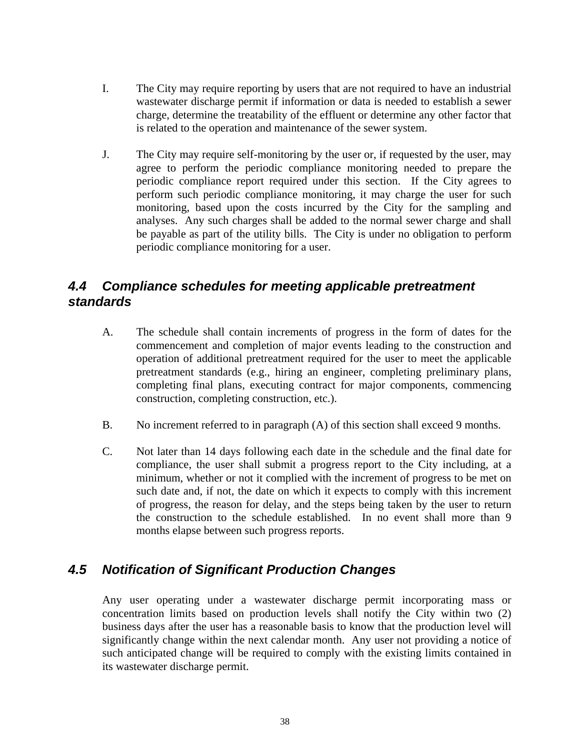- <span id="page-41-0"></span> I. The City may require reporting by users that are not required to have an industrial wastewater discharge permit if information or data is needed to establish a sewer charge, determine the treatability of the effluent or determine any other factor that is related to the operation and maintenance of the sewer system.
- J. The City may require self-monitoring by the user or, if requested by the user, may agree to perform the periodic compliance monitoring needed to prepare the periodic compliance report required under this section. If the City agrees to perform such periodic compliance monitoring, it may charge the user for such monitoring, based upon the costs incurred by the City for the sampling and analyses. Any such charges shall be added to the normal sewer charge and shall be payable as part of the utility bills. The City is under no obligation to perform periodic compliance monitoring for a user.

## *4.4 Compliance schedules for meeting applicable pretreatment standards*

- A. The schedule shall contain increments of progress in the form of dates for the commencement and completion of major events leading to the construction and operation of additional pretreatment required for the user to meet the applicable pretreatment standards (e.g., hiring an engineer, completing preliminary plans, completing final plans, executing contract for major components, commencing construction, completing construction, etc.).
- B. No increment referred to in paragraph (A) of this section shall exceed 9 months.
- C. Not later than 14 days following each date in the schedule and the final date for compliance, the user shall submit a progress report to the City including, at a minimum, whether or not it complied with the increment of progress to be met on such date and, if not, the date on which it expects to comply with this increment of progress, the reason for delay, and the steps being taken by the user to return the construction to the schedule established. In no event shall more than 9 months elapse between such progress reports.

#### *4.5 Notification of Significant Production Changes*

 Any user operating under a wastewater discharge permit incorporating mass or concentration limits based on production levels shall notify the City within two (2) business days after the user has a reasonable basis to know that the production level will significantly change within the next calendar month. Any user not providing a notice of such anticipated change will be required to comply with the existing limits contained in its wastewater discharge permit.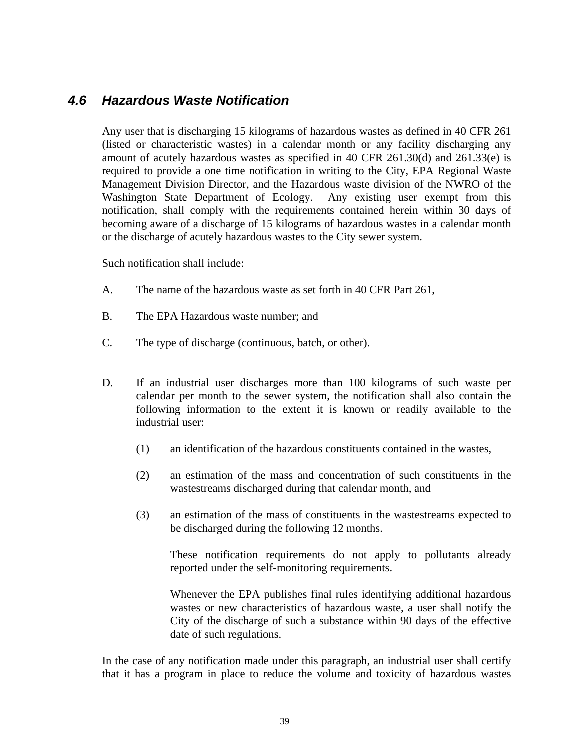#### <span id="page-42-0"></span>*4.6 Hazardous Waste Notification*

 Any user that is discharging 15 kilograms of hazardous wastes as defined in 40 CFR 261 (listed or characteristic wastes) in a calendar month or any facility discharging any amount of acutely hazardous wastes as specified in 40 CFR 261.30(d) and 261.33(e) is required to provide a one time notification in writing to the City, EPA Regional Waste Management Division Director, and the Hazardous waste division of the NWRO of the Washington State Department of Ecology. Any existing user exempt from this notification, shall comply with the requirements contained herein within 30 days of becoming aware of a discharge of 15 kilograms of hazardous wastes in a calendar month or the discharge of acutely hazardous wastes to the City sewer system.

Such notification shall include:

- A. The name of the hazardous waste as set forth in 40 CFR Part 261,
- B. The EPA Hazardous waste number; and
- C. The type of discharge (continuous, batch, or other).
- D. If an industrial user discharges more than 100 kilograms of such waste per calendar per month to the sewer system, the notification shall also contain the following information to the extent it is known or readily available to the industrial user:
	- (1) an identification of the hazardous constituents contained in the wastes,
	- (2) an estimation of the mass and concentration of such constituents in the wastestreams discharged during that calendar month, and
	- (3) an estimation of the mass of constituents in the wastestreams expected to be discharged during the following 12 months.

These notification requirements do not apply to pollutants already reported under the self-monitoring requirements.

Whenever the EPA publishes final rules identifying additional hazardous wastes or new characteristics of hazardous waste, a user shall notify the City of the discharge of such a substance within 90 days of the effective date of such regulations.

In the case of any notification made under this paragraph, an industrial user shall certify that it has a program in place to reduce the volume and toxicity of hazardous wastes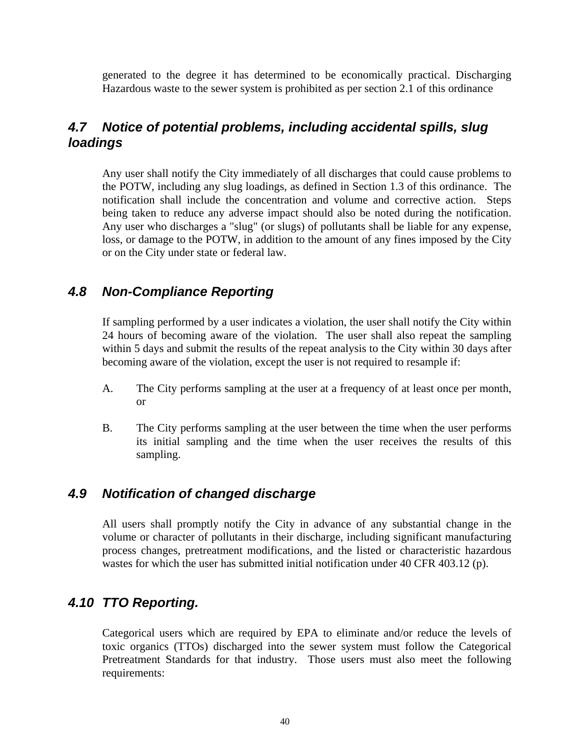<span id="page-43-0"></span>generated to the degree it has determined to be economically practical. Discharging Hazardous waste to the sewer system is prohibited as per section 2.1 of this ordinance

## *4.7 Notice of potential problems, including accidental spills, slug loadings*

 Any user shall notify the City immediately of all discharges that could cause problems to the POTW, including any slug loadings, as defined in Section 1.3 of this ordinance. The notification shall include the concentration and volume and corrective action. Steps being taken to reduce any adverse impact should also be noted during the notification. Any user who discharges a "slug" (or slugs) of pollutants shall be liable for any expense, loss, or damage to the POTW, in addition to the amount of any fines imposed by the City or on the City under state or federal law.

#### *4.8 Non-Compliance Reporting*

 If sampling performed by a user indicates a violation, the user shall notify the City within 24 hours of becoming aware of the violation. The user shall also repeat the sampling within 5 days and submit the results of the repeat analysis to the City within 30 days after becoming aware of the violation, except the user is not required to resample if:

- A. The City performs sampling at the user at a frequency of at least once per month, or
- B. The City performs sampling at the user between the time when the user performs its initial sampling and the time when the user receives the results of this sampling.

#### *4.9 Notification of changed discharge*

 All users shall promptly notify the City in advance of any substantial change in the volume or character of pollutants in their discharge, including significant manufacturing process changes, pretreatment modifications, and the listed or characteristic hazardous wastes for which the user has submitted initial notification under 40 CFR 403.12 (p).

### *4.10 TTO Reporting.*

 Categorical users which are required by EPA to eliminate and/or reduce the levels of toxic organics (TTOs) discharged into the sewer system must follow the Categorical Pretreatment Standards for that industry. Those users must also meet the following requirements: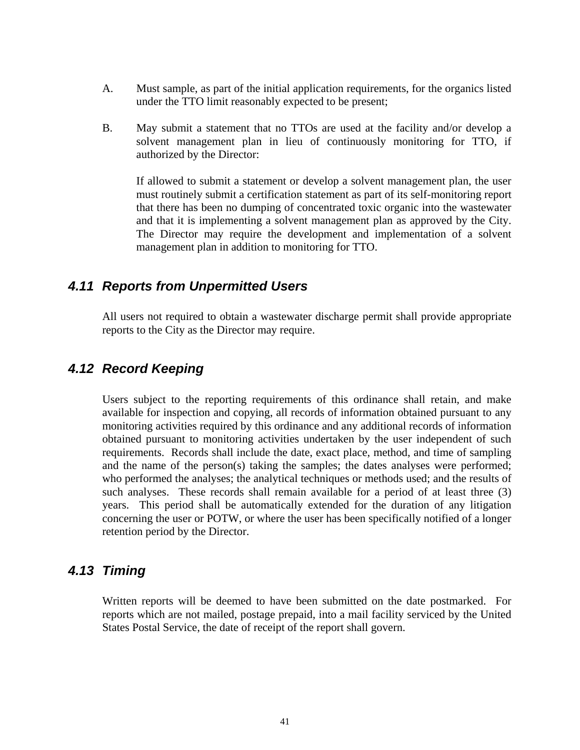- <span id="page-44-0"></span> A. Must sample, as part of the initial application requirements, for the organics listed under the TTO limit reasonably expected to be present;
- B. May submit a statement that no TTOs are used at the facility and/or develop a solvent management plan in lieu of continuously monitoring for TTO, if authorized by the Director:

If allowed to submit a statement or develop a solvent management plan, the user must routinely submit a certification statement as part of its self-monitoring report that there has been no dumping of concentrated toxic organic into the wastewater and that it is implementing a solvent management plan as approved by the City. The Director may require the development and implementation of a solvent management plan in addition to monitoring for TTO.

#### *4.11 Reports from Unpermitted Users*

All users not required to obtain a wastewater discharge permit shall provide appropriate reports to the City as the Director may require.

#### *4.12 Record Keeping*

Users subject to the reporting requirements of this ordinance shall retain, and make available for inspection and copying, all records of information obtained pursuant to any monitoring activities required by this ordinance and any additional records of information obtained pursuant to monitoring activities undertaken by the user independent of such requirements. Records shall include the date, exact place, method, and time of sampling and the name of the person(s) taking the samples; the dates analyses were performed; who performed the analyses; the analytical techniques or methods used; and the results of such analyses. These records shall remain available for a period of at least three (3) years. This period shall be automatically extended for the duration of any litigation concerning the user or POTW, or where the user has been specifically notified of a longer retention period by the Director.

#### *4.13 Timing*

Written reports will be deemed to have been submitted on the date postmarked. For reports which are not mailed, postage prepaid, into a mail facility serviced by the United States Postal Service, the date of receipt of the report shall govern.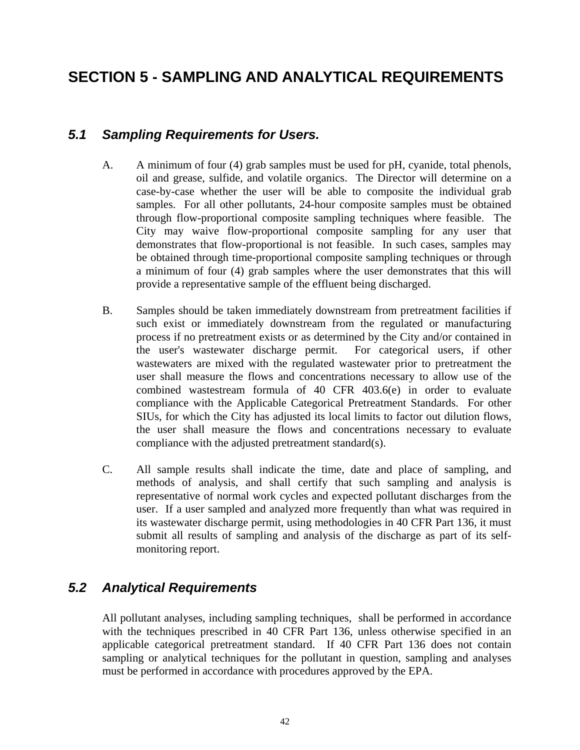## <span id="page-45-0"></span>**SECTION 5 - SAMPLING AND ANALYTICAL REQUIREMENTS**

#### *5.1 Sampling Requirements for Users.*

- A. A minimum of four (4) grab samples must be used for pH, cyanide, total phenols, oil and grease, sulfide, and volatile organics. The Director will determine on a case-by-case whether the user will be able to composite the individual grab samples. For all other pollutants, 24-hour composite samples must be obtained through flow-proportional composite sampling techniques where feasible. The City may waive flow-proportional composite sampling for any user that demonstrates that flow-proportional is not feasible. In such cases, samples may be obtained through time-proportional composite sampling techniques or through a minimum of four (4) grab samples where the user demonstrates that this will provide a representative sample of the effluent being discharged.
- B. Samples should be taken immediately downstream from pretreatment facilities if such exist or immediately downstream from the regulated or manufacturing process if no pretreatment exists or as determined by the City and/or contained in the user's wastewater discharge permit. For categorical users, if other wastewaters are mixed with the regulated wastewater prior to pretreatment the user shall measure the flows and concentrations necessary to allow use of the combined wastestream formula of 40 CFR 403.6(e) in order to evaluate compliance with the Applicable Categorical Pretreatment Standards. For other SIUs, for which the City has adjusted its local limits to factor out dilution flows, the user shall measure the flows and concentrations necessary to evaluate compliance with the adjusted pretreatment standard(s).
- C. All sample results shall indicate the time, date and place of sampling, and methods of analysis, and shall certify that such sampling and analysis is representative of normal work cycles and expected pollutant discharges from the user. If a user sampled and analyzed more frequently than what was required in its wastewater discharge permit, using methodologies in 40 CFR Part 136, it must submit all results of sampling and analysis of the discharge as part of its selfmonitoring report.

#### *5.2 Analytical Requirements*

All pollutant analyses, including sampling techniques, shall be performed in accordance with the techniques prescribed in 40 CFR Part 136, unless otherwise specified in an applicable categorical pretreatment standard. If 40 CFR Part 136 does not contain sampling or analytical techniques for the pollutant in question, sampling and analyses must be performed in accordance with procedures approved by the EPA.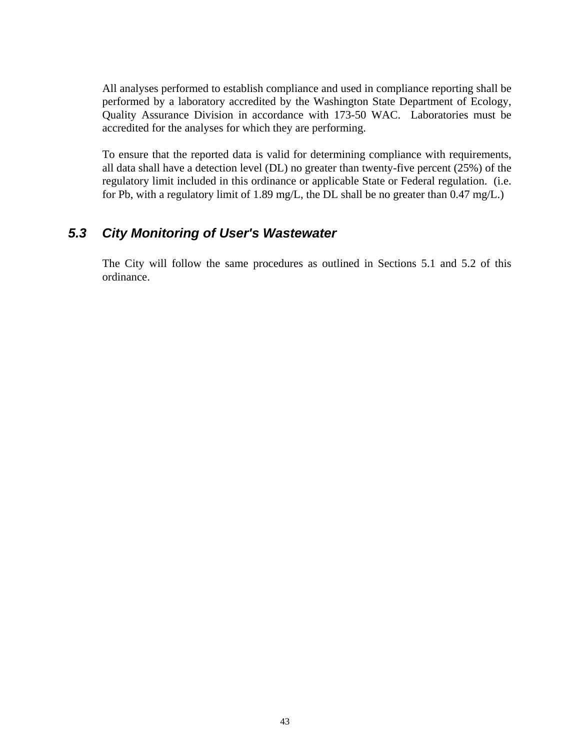<span id="page-46-0"></span>All analyses performed to establish compliance and used in compliance reporting shall be performed by a laboratory accredited by the Washington State Department of Ecology, Quality Assurance Division in accordance with 173-50 WAC. Laboratories must be accredited for the analyses for which they are performing.

To ensure that the reported data is valid for determining compliance with requirements, all data shall have a detection level (DL) no greater than twenty-five percent (25%) of the regulatory limit included in this ordinance or applicable State or Federal regulation. (i.e. for Pb, with a regulatory limit of 1.89 mg/L, the DL shall be no greater than 0.47 mg/L.)

### *5.3 City Monitoring of User's Wastewater*

 The City will follow the same procedures as outlined in Sections 5.1 and 5.2 of this ordinance.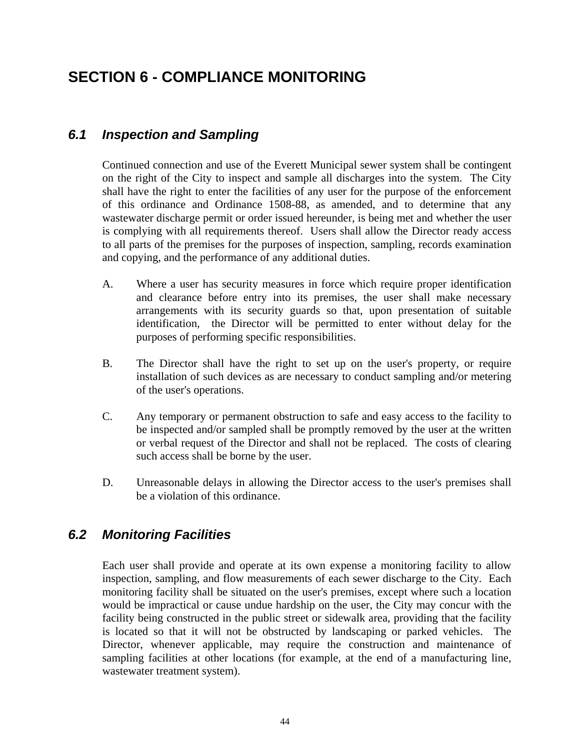## <span id="page-47-0"></span>**SECTION 6 - COMPLIANCE MONITORING**

### *6.1 Inspection and Sampling*

Continued connection and use of the Everett Municipal sewer system shall be contingent on the right of the City to inspect and sample all discharges into the system. The City shall have the right to enter the facilities of any user for the purpose of the enforcement of this ordinance and Ordinance 1508-88, as amended, and to determine that any wastewater discharge permit or order issued hereunder, is being met and whether the user is complying with all requirements thereof. Users shall allow the Director ready access to all parts of the premises for the purposes of inspection, sampling, records examination and copying, and the performance of any additional duties.

- A. Where a user has security measures in force which require proper identification and clearance before entry into its premises, the user shall make necessary arrangements with its security guards so that, upon presentation of suitable identification, the Director will be permitted to enter without delay for the purposes of performing specific responsibilities.
- B. The Director shall have the right to set up on the user's property, or require installation of such devices as are necessary to conduct sampling and/or metering of the user's operations.
- C. Any temporary or permanent obstruction to safe and easy access to the facility to be inspected and/or sampled shall be promptly removed by the user at the written or verbal request of the Director and shall not be replaced. The costs of clearing such access shall be borne by the user.
- D. Unreasonable delays in allowing the Director access to the user's premises shall be a violation of this ordinance.

## *6.2 Monitoring Facilities*

Each user shall provide and operate at its own expense a monitoring facility to allow inspection, sampling, and flow measurements of each sewer discharge to the City. Each monitoring facility shall be situated on the user's premises, except where such a location would be impractical or cause undue hardship on the user, the City may concur with the facility being constructed in the public street or sidewalk area, providing that the facility is located so that it will not be obstructed by landscaping or parked vehicles. The Director, whenever applicable, may require the construction and maintenance of sampling facilities at other locations (for example, at the end of a manufacturing line, wastewater treatment system).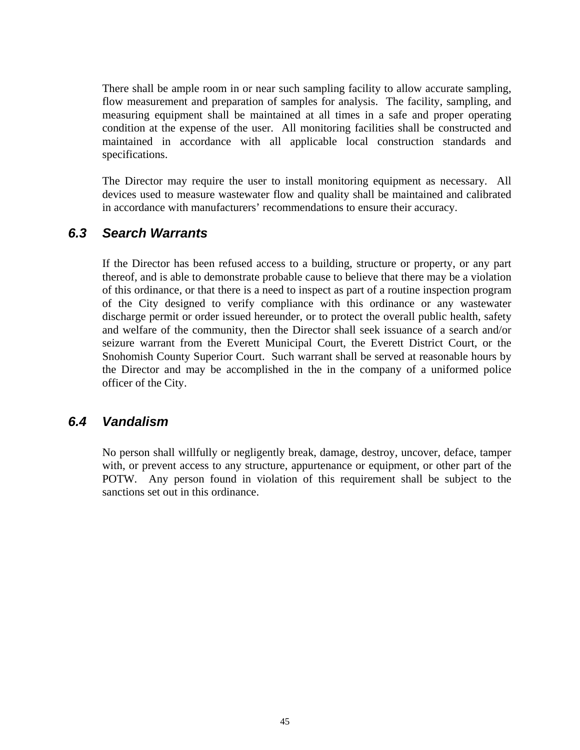<span id="page-48-0"></span>There shall be ample room in or near such sampling facility to allow accurate sampling, flow measurement and preparation of samples for analysis. The facility, sampling, and measuring equipment shall be maintained at all times in a safe and proper operating condition at the expense of the user. All monitoring facilities shall be constructed and maintained in accordance with all applicable local construction standards and specifications.

The Director may require the user to install monitoring equipment as necessary. All devices used to measure wastewater flow and quality shall be maintained and calibrated in accordance with manufacturers' recommendations to ensure their accuracy.

#### *6.3 Search Warrants*

If the Director has been refused access to a building, structure or property, or any part thereof, and is able to demonstrate probable cause to believe that there may be a violation of this ordinance, or that there is a need to inspect as part of a routine inspection program of the City designed to verify compliance with this ordinance or any wastewater discharge permit or order issued hereunder, or to protect the overall public health, safety and welfare of the community, then the Director shall seek issuance of a search and/or seizure warrant from the Everett Municipal Court, the Everett District Court, or the Snohomish County Superior Court. Such warrant shall be served at reasonable hours by the Director and may be accomplished in the in the company of a uniformed police officer of the City.

#### *6.4 Vandalism*

No person shall willfully or negligently break, damage, destroy, uncover, deface, tamper with, or prevent access to any structure, appurtenance or equipment, or other part of the POTW. Any person found in violation of this requirement shall be subject to the sanctions set out in this ordinance.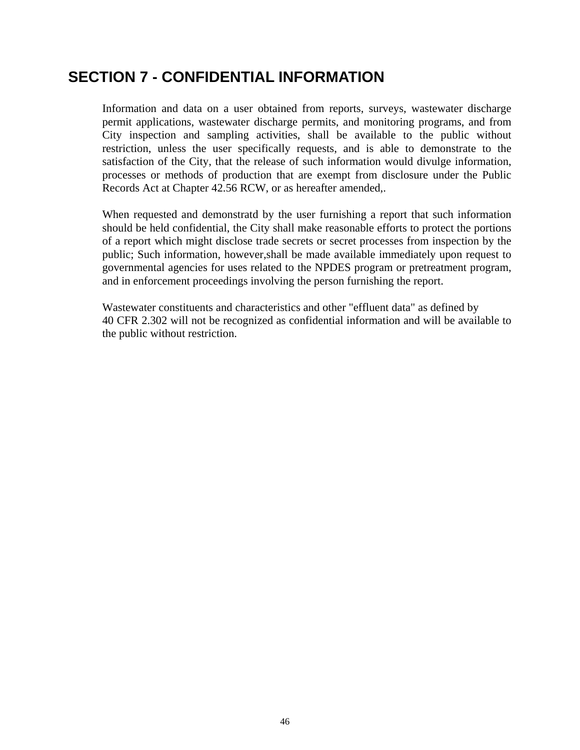## <span id="page-49-0"></span>**SECTION 7 - CONFIDENTIAL INFORMATION**

Information and data on a user obtained from reports, surveys, wastewater discharge permit applications, wastewater discharge permits, and monitoring programs, and from City inspection and sampling activities, shall be available to the public without restriction, unless the user specifically requests, and is able to demonstrate to the satisfaction of the City, that the release of such information would divulge information, processes or methods of production that are exempt from disclosure under the Public Records Act at Chapter 42.56 RCW, or as hereafter amended,.

When requested and demonstratd by the user furnishing a report that such information should be held confidential, the City shall make reasonable efforts to protect the portions of a report which might disclose trade secrets or secret processes from inspection by the public; Such information, however,shall be made available immediately upon request to governmental agencies for uses related to the NPDES program or pretreatment program, and in enforcement proceedings involving the person furnishing the report.

Wastewater constituents and characteristics and other "effluent data" as defined by 40 CFR 2.302 will not be recognized as confidential information and will be available to the public without restriction.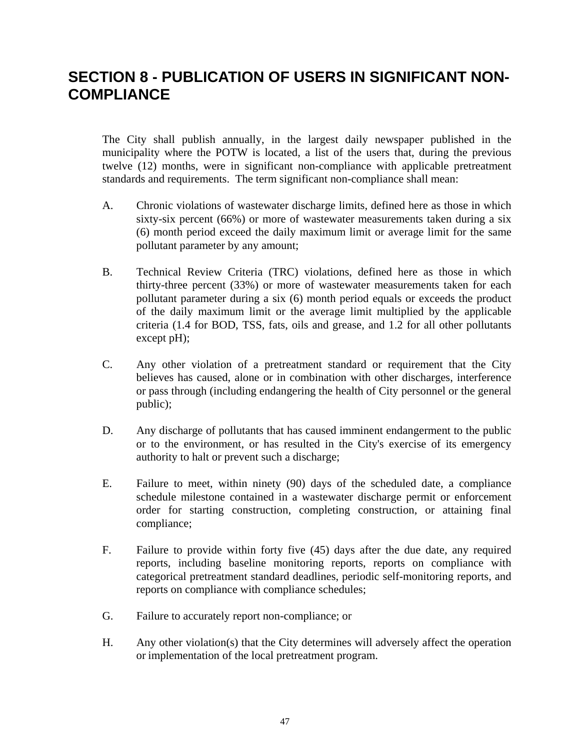## <span id="page-50-0"></span>**SECTION 8 - PUBLICATION OF USERS IN SIGNIFICANT NON-COMPLIANCE**

The City shall publish annually, in the largest daily newspaper published in the municipality where the POTW is located, a list of the users that, during the previous twelve (12) months, were in significant non-compliance with applicable pretreatment standards and requirements. The term significant non-compliance shall mean:

- A. Chronic violations of wastewater discharge limits, defined here as those in which sixty-six percent (66%) or more of wastewater measurements taken during a six (6) month period exceed the daily maximum limit or average limit for the same pollutant parameter by any amount;
- B. Technical Review Criteria (TRC) violations, defined here as those in which thirty-three percent (33%) or more of wastewater measurements taken for each pollutant parameter during a six (6) month period equals or exceeds the product of the daily maximum limit or the average limit multiplied by the applicable criteria (1.4 for BOD, TSS, fats, oils and grease, and 1.2 for all other pollutants except pH);
- C. Any other violation of a pretreatment standard or requirement that the City believes has caused, alone or in combination with other discharges, interference or pass through (including endangering the health of City personnel or the general public);
- D. Any discharge of pollutants that has caused imminent endangerment to the public or to the environment, or has resulted in the City's exercise of its emergency authority to halt or prevent such a discharge;
- E. Failure to meet, within ninety (90) days of the scheduled date, a compliance schedule milestone contained in a wastewater discharge permit or enforcement order for starting construction, completing construction, or attaining final compliance;
- F. Failure to provide within forty five (45) days after the due date, any required reports, including baseline monitoring reports, reports on compliance with categorical pretreatment standard deadlines, periodic self-monitoring reports, and reports on compliance with compliance schedules;
- G. Failure to accurately report non-compliance; or
- H. Any other violation(s) that the City determines will adversely affect the operation or implementation of the local pretreatment program.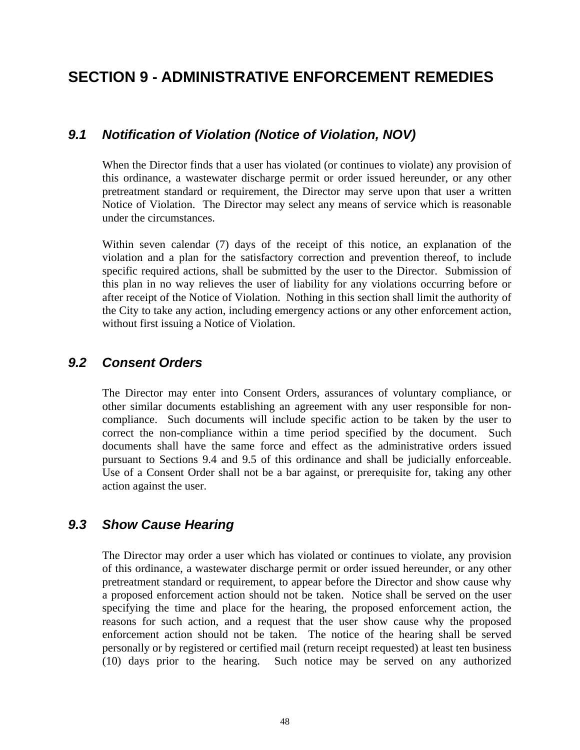## <span id="page-51-0"></span>**SECTION 9 - ADMINISTRATIVE ENFORCEMENT REMEDIES**

#### *9.1 Notification of Violation (Notice of Violation, NOV)*

When the Director finds that a user has violated (or continues to violate) any provision of this ordinance, a wastewater discharge permit or order issued hereunder, or any other pretreatment standard or requirement, the Director may serve upon that user a written Notice of Violation. The Director may select any means of service which is reasonable under the circumstances.

Within seven calendar (7) days of the receipt of this notice, an explanation of the violation and a plan for the satisfactory correction and prevention thereof, to include specific required actions, shall be submitted by the user to the Director. Submission of this plan in no way relieves the user of liability for any violations occurring before or after receipt of the Notice of Violation. Nothing in this section shall limit the authority of the City to take any action, including emergency actions or any other enforcement action, without first issuing a Notice of Violation.

### *9.2 Consent Orders*

The Director may enter into Consent Orders, assurances of voluntary compliance, or other similar documents establishing an agreement with any user responsible for noncompliance. Such documents will include specific action to be taken by the user to correct the non-compliance within a time period specified by the document. Such documents shall have the same force and effect as the administrative orders issued pursuant to Sections 9.4 and 9.5 of this ordinance and shall be judicially enforceable. Use of a Consent Order shall not be a bar against, or prerequisite for, taking any other action against the user.

#### *9.3 Show Cause Hearing*

The Director may order a user which has violated or continues to violate, any provision of this ordinance, a wastewater discharge permit or order issued hereunder, or any other pretreatment standard or requirement, to appear before the Director and show cause why a proposed enforcement action should not be taken. Notice shall be served on the user specifying the time and place for the hearing, the proposed enforcement action, the reasons for such action, and a request that the user show cause why the proposed enforcement action should not be taken. The notice of the hearing shall be served personally or by registered or certified mail (return receipt requested) at least ten business (10) days prior to the hearing. Such notice may be served on any authorized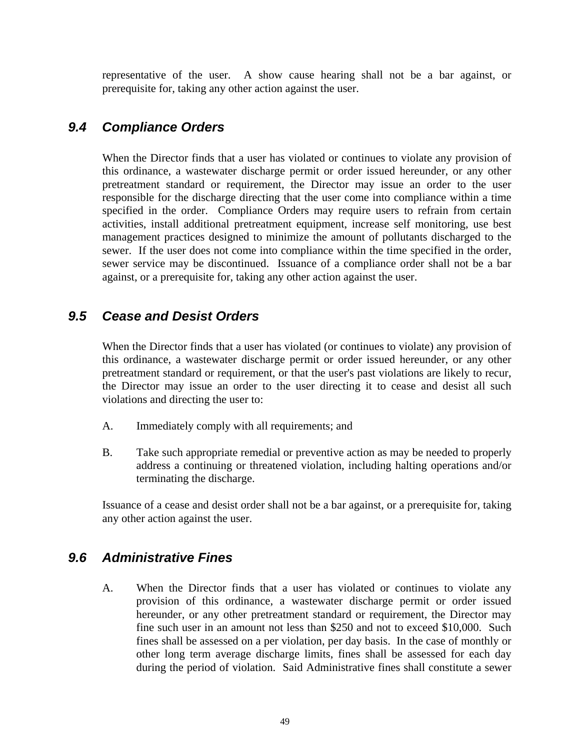<span id="page-52-0"></span>representative of the user. A show cause hearing shall not be a bar against, or prerequisite for, taking any other action against the user.

### *9.4 Compliance Orders*

When the Director finds that a user has violated or continues to violate any provision of this ordinance, a wastewater discharge permit or order issued hereunder, or any other pretreatment standard or requirement, the Director may issue an order to the user responsible for the discharge directing that the user come into compliance within a time specified in the order. Compliance Orders may require users to refrain from certain activities, install additional pretreatment equipment, increase self monitoring, use best management practices designed to minimize the amount of pollutants discharged to the sewer. If the user does not come into compliance within the time specified in the order, sewer service may be discontinued. Issuance of a compliance order shall not be a bar against, or a prerequisite for, taking any other action against the user.

#### *9.5 Cease and Desist Orders*

When the Director finds that a user has violated (or continues to violate) any provision of this ordinance, a wastewater discharge permit or order issued hereunder, or any other pretreatment standard or requirement, or that the user's past violations are likely to recur, the Director may issue an order to the user directing it to cease and desist all such violations and directing the user to:

- A. Immediately comply with all requirements; and
- B. Take such appropriate remedial or preventive action as may be needed to properly address a continuing or threatened violation, including halting operations and/or terminating the discharge.

Issuance of a cease and desist order shall not be a bar against, or a prerequisite for, taking any other action against the user.

#### *9.6 Administrative Fines*

 A. When the Director finds that a user has violated or continues to violate any provision of this ordinance, a wastewater discharge permit or order issued hereunder, or any other pretreatment standard or requirement, the Director may fine such user in an amount not less than \$250 and not to exceed \$10,000. Such fines shall be assessed on a per violation, per day basis. In the case of monthly or other long term average discharge limits, fines shall be assessed for each day during the period of violation. Said Administrative fines shall constitute a sewer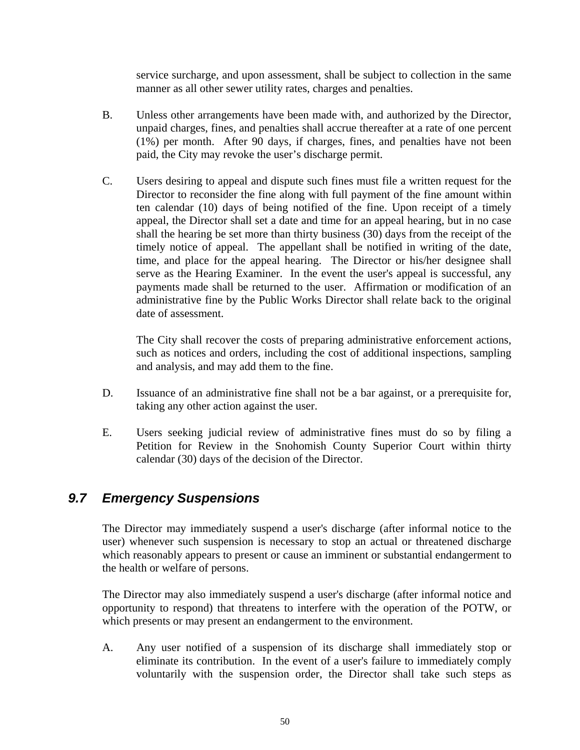service surcharge, and upon assessment, shall be subject to collection in the same manner as all other sewer utility rates, charges and penalties.

- <span id="page-53-0"></span> B. Unless other arrangements have been made with, and authorized by the Director, unpaid charges, fines, and penalties shall accrue thereafter at a rate of one percent (1%) per month. After 90 days, if charges, fines, and penalties have not been paid, the City may revoke the user's discharge permit.
- C. Users desiring to appeal and dispute such fines must file a written request for the Director to reconsider the fine along with full payment of the fine amount within ten calendar (10) days of being notified of the fine. Upon receipt of a timely appeal, the Director shall set a date and time for an appeal hearing, but in no case shall the hearing be set more than thirty business (30) days from the receipt of the timely notice of appeal. The appellant shall be notified in writing of the date, time, and place for the appeal hearing. The Director or his/her designee shall serve as the Hearing Examiner. In the event the user's appeal is successful, any payments made shall be returned to the user. Affirmation or modification of an administrative fine by the Public Works Director shall relate back to the original date of assessment.

The City shall recover the costs of preparing administrative enforcement actions, such as notices and orders, including the cost of additional inspections, sampling and analysis, and may add them to the fine.

- D. Issuance of an administrative fine shall not be a bar against, or a prerequisite for, taking any other action against the user.
- E. Users seeking judicial review of administrative fines must do so by filing a Petition for Review in the Snohomish County Superior Court within thirty calendar (30) days of the decision of the Director.

#### *9.7 Emergency Suspensions*

 The Director may immediately suspend a user's discharge (after informal notice to the user) whenever such suspension is necessary to stop an actual or threatened discharge which reasonably appears to present or cause an imminent or substantial endangerment to the health or welfare of persons.

The Director may also immediately suspend a user's discharge (after informal notice and opportunity to respond) that threatens to interfere with the operation of the POTW, or which presents or may present an endangerment to the environment.

 A. Any user notified of a suspension of its discharge shall immediately stop or eliminate its contribution. In the event of a user's failure to immediately comply voluntarily with the suspension order, the Director shall take such steps as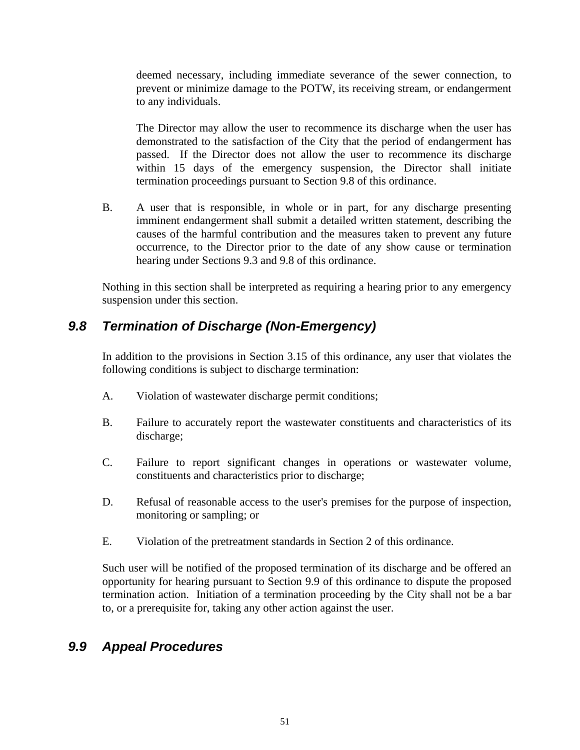<span id="page-54-0"></span>deemed necessary, including immediate severance of the sewer connection, to prevent or minimize damage to the POTW, its receiving stream, or endangerment to any individuals.

The Director may allow the user to recommence its discharge when the user has demonstrated to the satisfaction of the City that the period of endangerment has passed. If the Director does not allow the user to recommence its discharge within 15 days of the emergency suspension, the Director shall initiate termination proceedings pursuant to Section 9.8 of this ordinance.

 B. A user that is responsible, in whole or in part, for any discharge presenting imminent endangerment shall submit a detailed written statement, describing the causes of the harmful contribution and the measures taken to prevent any future occurrence, to the Director prior to the date of any show cause or termination hearing under Sections 9.3 and 9.8 of this ordinance.

Nothing in this section shall be interpreted as requiring a hearing prior to any emergency suspension under this section.

### *9.8 Termination of Discharge (Non-Emergency)*

In addition to the provisions in Section 3.15 of this ordinance, any user that violates the following conditions is subject to discharge termination:

- A. Violation of wastewater discharge permit conditions;
- B. Failure to accurately report the wastewater constituents and characteristics of its discharge;
- C. Failure to report significant changes in operations or wastewater volume, constituents and characteristics prior to discharge;
- D. Refusal of reasonable access to the user's premises for the purpose of inspection, monitoring or sampling; or
- E. Violation of the pretreatment standards in Section 2 of this ordinance.

 Such user will be notified of the proposed termination of its discharge and be offered an opportunity for hearing pursuant to Section 9.9 of this ordinance to dispute the proposed termination action. Initiation of a termination proceeding by the City shall not be a bar to, or a prerequisite for, taking any other action against the user.

### *9.9 Appeal Procedures*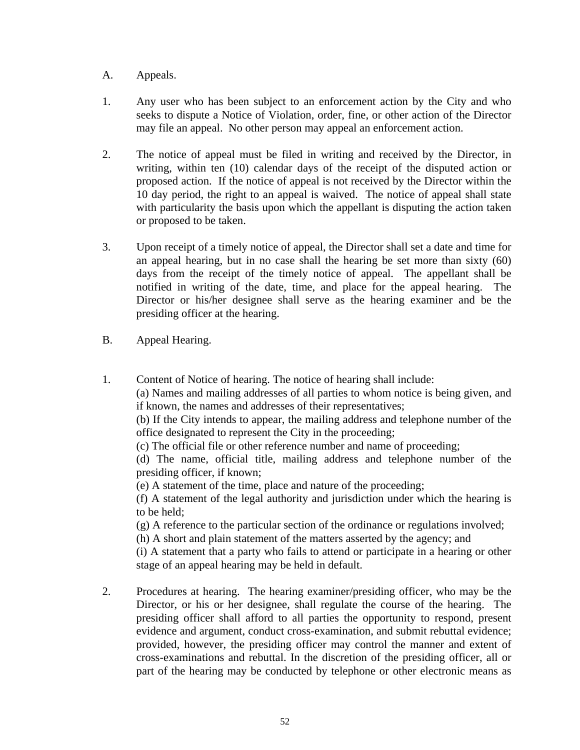- A. Appeals.
- 1. Any user who has been subject to an enforcement action by the City and who seeks to dispute a Notice of Violation, order, fine, or other action of the Director may file an appeal. No other person may appeal an enforcement action.
- 2. The notice of appeal must be filed in writing and received by the Director, in writing, within ten (10) calendar days of the receipt of the disputed action or proposed action. If the notice of appeal is not received by the Director within the 10 day period, the right to an appeal is waived. The notice of appeal shall state with particularity the basis upon which the appellant is disputing the action taken or proposed to be taken.
- 3. Upon receipt of a timely notice of appeal, the Director shall set a date and time for an appeal hearing, but in no case shall the hearing be set more than sixty (60) days from the receipt of the timely notice of appeal. The appellant shall be notified in writing of the date, time, and place for the appeal hearing. The Director or his/her designee shall serve as the hearing examiner and be the presiding officer at the hearing.
- B. Appeal Hearing.
- 1. Content of Notice of hearing. The notice of hearing shall include:

(a) Names and mailing addresses of all parties to whom notice is being given, and if known, the names and addresses of their representatives;

(b) If the City intends to appear, the mailing address and telephone number of the office designated to represent the City in the proceeding;

(c) The official file or other reference number and name of proceeding;

(d) The name, official title, mailing address and telephone number of the presiding officer, if known;

(e) A statement of the time, place and nature of the proceeding;

(f) A statement of the legal authority and jurisdiction under which the hearing is to be held;

(g) A reference to the particular section of the ordinance or regulations involved;

(h) A short and plain statement of the matters asserted by the agency; and

(i) A statement that a party who fails to attend or participate in a hearing or other stage of an appeal hearing may be held in default.

 2. Procedures at hearing. The hearing examiner/presiding officer, who may be the Director, or his or her designee, shall regulate the course of the hearing. The presiding officer shall afford to all parties the opportunity to respond, present evidence and argument, conduct cross-examination, and submit rebuttal evidence; provided, however, the presiding officer may control the manner and extent of cross-examinations and rebuttal. In the discretion of the presiding officer, all or part of the hearing may be conducted by telephone or other electronic means as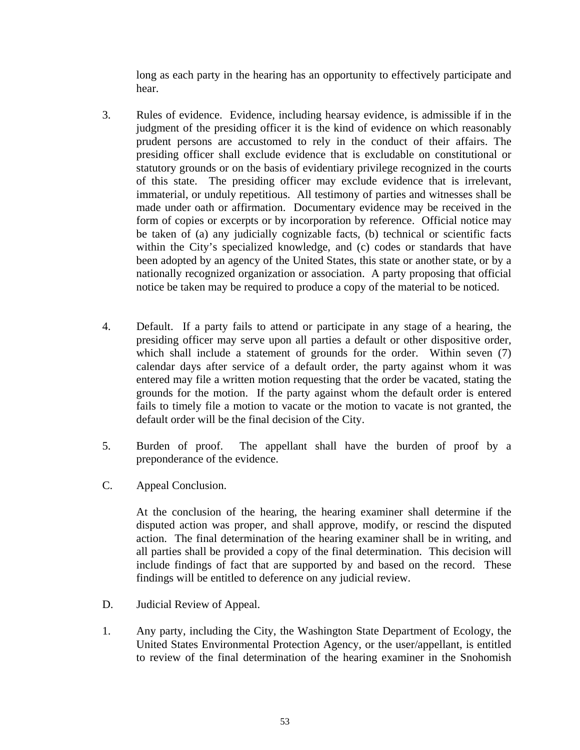long as each party in the hearing has an opportunity to effectively participate and hear.

- 3. Rules of evidence. Evidence, including hearsay evidence, is admissible if in the judgment of the presiding officer it is the kind of evidence on which reasonably prudent persons are accustomed to rely in the conduct of their affairs. The presiding officer shall exclude evidence that is excludable on constitutional or statutory grounds or on the basis of evidentiary privilege recognized in the courts of this state. The presiding officer may exclude evidence that is irrelevant, immaterial, or unduly repetitious. All testimony of parties and witnesses shall be made under oath or affirmation. Documentary evidence may be received in the form of copies or excerpts or by incorporation by reference. Official notice may be taken of (a) any judicially cognizable facts, (b) technical or scientific facts within the City's specialized knowledge, and (c) codes or standards that have been adopted by an agency of the United States, this state or another state, or by a nationally recognized organization or association. A party proposing that official notice be taken may be required to produce a copy of the material to be noticed.
- 4. Default. If a party fails to attend or participate in any stage of a hearing, the presiding officer may serve upon all parties a default or other dispositive order, which shall include a statement of grounds for the order. Within seven (7) calendar days after service of a default order, the party against whom it was entered may file a written motion requesting that the order be vacated, stating the grounds for the motion. If the party against whom the default order is entered fails to timely file a motion to vacate or the motion to vacate is not granted, the default order will be the final decision of the City.
- 5. Burden of proof. The appellant shall have the burden of proof by a preponderance of the evidence.
- C. Appeal Conclusion.

 At the conclusion of the hearing, the hearing examiner shall determine if the disputed action was proper, and shall approve, modify, or rescind the disputed action. The final determination of the hearing examiner shall be in writing, and all parties shall be provided a copy of the final determination. This decision will include findings of fact that are supported by and based on the record. These findings will be entitled to deference on any judicial review.

- D. Judicial Review of Appeal.
- 1. Any party, including the City, the Washington State Department of Ecology, the United States Environmental Protection Agency, or the user/appellant, is entitled to review of the final determination of the hearing examiner in the Snohomish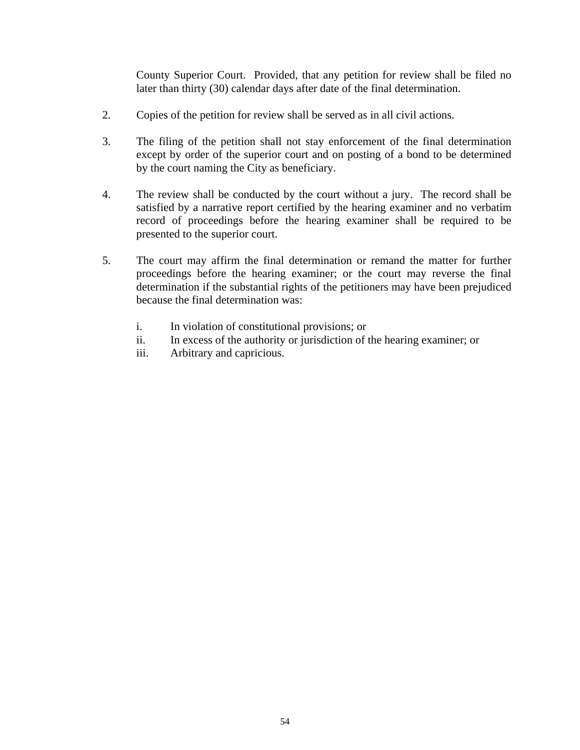County Superior Court. Provided, that any petition for review shall be filed no later than thirty (30) calendar days after date of the final determination.

- 2. Copies of the petition for review shall be served as in all civil actions.
- 3. The filing of the petition shall not stay enforcement of the final determination except by order of the superior court and on posting of a bond to be determined by the court naming the City as beneficiary.
- 4. The review shall be conducted by the court without a jury. The record shall be satisfied by a narrative report certified by the hearing examiner and no verbatim record of proceedings before the hearing examiner shall be required to be presented to the superior court.
- 5. The court may affirm the final determination or remand the matter for further proceedings before the hearing examiner; or the court may reverse the final determination if the substantial rights of the petitioners may have been prejudiced because the final determination was:
	- i. In violation of constitutional provisions; or
	- ii. In excess of the authority or jurisdiction of the hearing examiner; or
	- iii. Arbitrary and capricious.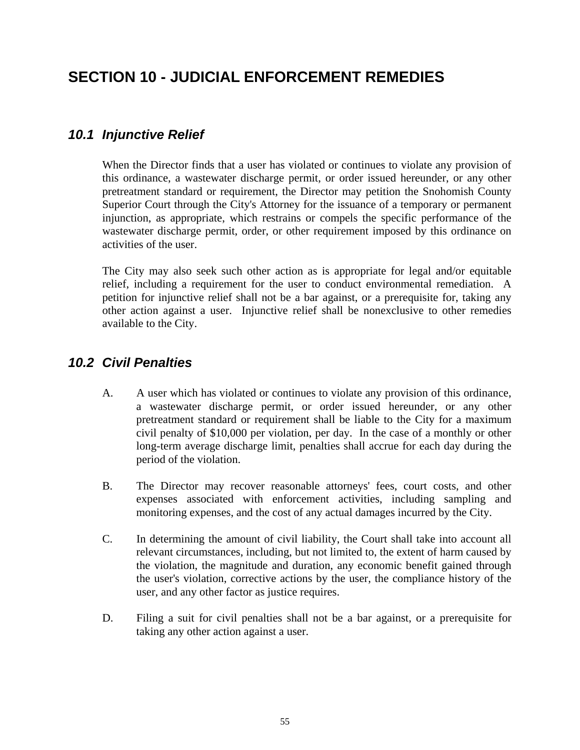## <span id="page-58-0"></span>**SECTION 10 - JUDICIAL ENFORCEMENT REMEDIES**

### *10.1 Injunctive Relief*

 When the Director finds that a user has violated or continues to violate any provision of this ordinance, a wastewater discharge permit, or order issued hereunder, or any other pretreatment standard or requirement, the Director may petition the Snohomish County Superior Court through the City's Attorney for the issuance of a temporary or permanent injunction, as appropriate, which restrains or compels the specific performance of the wastewater discharge permit, order, or other requirement imposed by this ordinance on activities of the user.

 The City may also seek such other action as is appropriate for legal and/or equitable relief, including a requirement for the user to conduct environmental remediation. A petition for injunctive relief shall not be a bar against, or a prerequisite for, taking any other action against a user. Injunctive relief shall be nonexclusive to other remedies available to the City.

### *10.2 Civil Penalties*

- A. A user which has violated or continues to violate any provision of this ordinance, a wastewater discharge permit, or order issued hereunder, or any other pretreatment standard or requirement shall be liable to the City for a maximum civil penalty of \$10,000 per violation, per day. In the case of a monthly or other long-term average discharge limit, penalties shall accrue for each day during the period of the violation.
- B. The Director may recover reasonable attorneys' fees, court costs, and other expenses associated with enforcement activities, including sampling and monitoring expenses, and the cost of any actual damages incurred by the City.
- C. In determining the amount of civil liability, the Court shall take into account all relevant circumstances, including, but not limited to, the extent of harm caused by the violation, the magnitude and duration, any economic benefit gained through the user's violation, corrective actions by the user, the compliance history of the user, and any other factor as justice requires.
- D. Filing a suit for civil penalties shall not be a bar against, or a prerequisite for taking any other action against a user.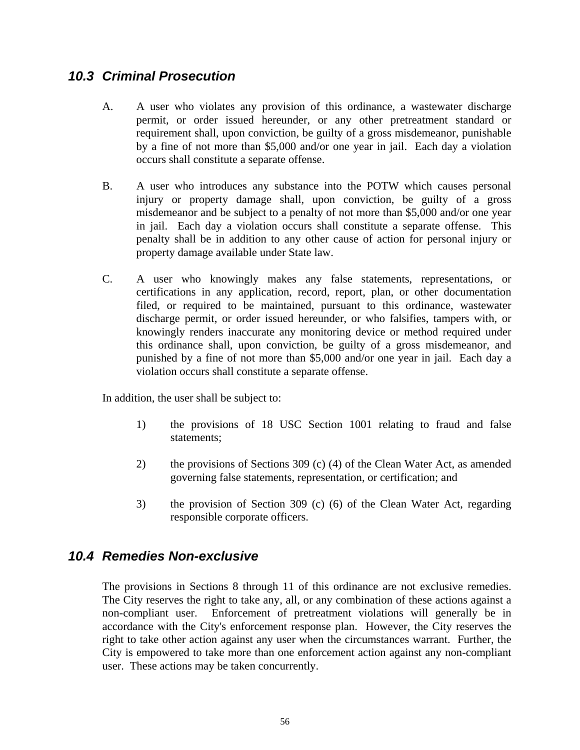#### <span id="page-59-0"></span>*10.3 Criminal Prosecution*

- A. A user who violates any provision of this ordinance, a wastewater discharge permit, or order issued hereunder, or any other pretreatment standard or requirement shall, upon conviction, be guilty of a gross misdemeanor, punishable by a fine of not more than \$5,000 and/or one year in jail. Each day a violation occurs shall constitute a separate offense.
- B. A user who introduces any substance into the POTW which causes personal injury or property damage shall, upon conviction, be guilty of a gross misdemeanor and be subject to a penalty of not more than \$5,000 and/or one year in jail. Each day a violation occurs shall constitute a separate offense. This penalty shall be in addition to any other cause of action for personal injury or property damage available under State law.
- C. A user who knowingly makes any false statements, representations, or certifications in any application, record, report, plan, or other documentation filed, or required to be maintained, pursuant to this ordinance, wastewater discharge permit, or order issued hereunder, or who falsifies, tampers with, or knowingly renders inaccurate any monitoring device or method required under this ordinance shall, upon conviction, be guilty of a gross misdemeanor, and punished by a fine of not more than \$5,000 and/or one year in jail. Each day a violation occurs shall constitute a separate offense.

In addition, the user shall be subject to:

- 1) the provisions of 18 USC Section 1001 relating to fraud and false statements;
- 2) the provisions of Sections 309 (c) (4) of the Clean Water Act, as amended governing false statements, representation, or certification; and
- 3) the provision of Section 309 (c) (6) of the Clean Water Act, regarding responsible corporate officers.

#### *10.4 Remedies Non-exclusive*

 The provisions in Sections 8 through 11 of this ordinance are not exclusive remedies. The City reserves the right to take any, all, or any combination of these actions against a non-compliant user. Enforcement of pretreatment violations will generally be in accordance with the City's enforcement response plan. However, the City reserves the right to take other action against any user when the circumstances warrant. Further, the City is empowered to take more than one enforcement action against any non-compliant user. These actions may be taken concurrently.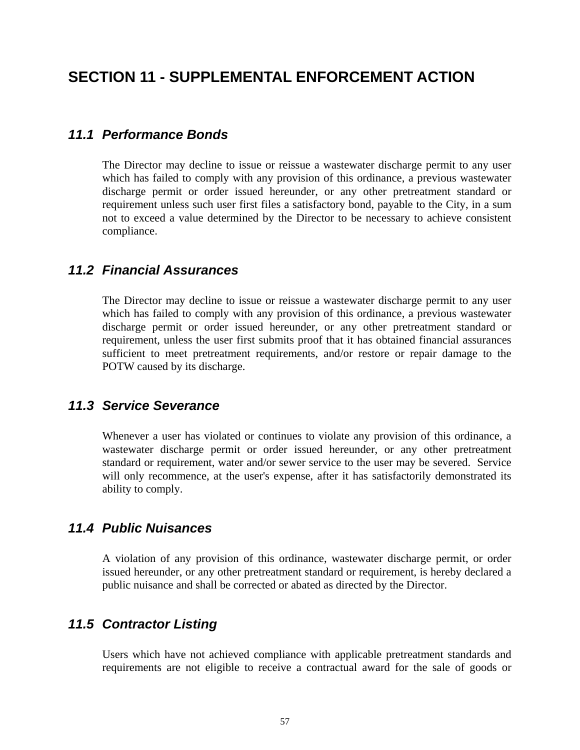## <span id="page-60-0"></span>**SECTION 11 - SUPPLEMENTAL ENFORCEMENT ACTION**

#### *11.1 Performance Bonds*

 The Director may decline to issue or reissue a wastewater discharge permit to any user which has failed to comply with any provision of this ordinance, a previous wastewater discharge permit or order issued hereunder, or any other pretreatment standard or requirement unless such user first files a satisfactory bond, payable to the City, in a sum not to exceed a value determined by the Director to be necessary to achieve consistent compliance.

#### *11.2 Financial Assurances*

 The Director may decline to issue or reissue a wastewater discharge permit to any user which has failed to comply with any provision of this ordinance, a previous wastewater discharge permit or order issued hereunder, or any other pretreatment standard or requirement, unless the user first submits proof that it has obtained financial assurances sufficient to meet pretreatment requirements, and/or restore or repair damage to the POTW caused by its discharge.

#### *11.3 Service Severance*

 Whenever a user has violated or continues to violate any provision of this ordinance, a wastewater discharge permit or order issued hereunder, or any other pretreatment standard or requirement, water and/or sewer service to the user may be severed. Service will only recommence, at the user's expense, after it has satisfactorily demonstrated its ability to comply.

#### *11.4 Public Nuisances*

 A violation of any provision of this ordinance, wastewater discharge permit, or order issued hereunder, or any other pretreatment standard or requirement, is hereby declared a public nuisance and shall be corrected or abated as directed by the Director.

#### *11.5 Contractor Listing*

 Users which have not achieved compliance with applicable pretreatment standards and requirements are not eligible to receive a contractual award for the sale of goods or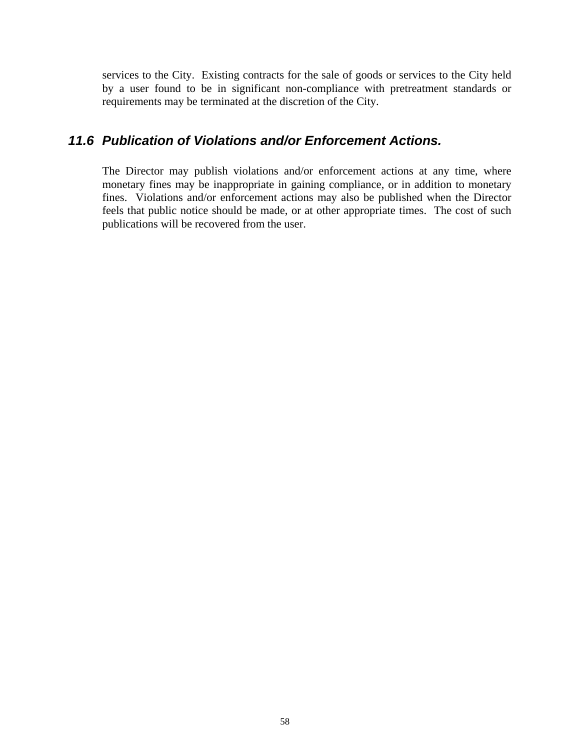<span id="page-61-0"></span>services to the City. Existing contracts for the sale of goods or services to the City held by a user found to be in significant non-compliance with pretreatment standards or requirements may be terminated at the discretion of the City.

#### *11.6 Publication of Violations and/or Enforcement Actions.*

 The Director may publish violations and/or enforcement actions at any time, where monetary fines may be inappropriate in gaining compliance, or in addition to monetary fines. Violations and/or enforcement actions may also be published when the Director feels that public notice should be made, or at other appropriate times. The cost of such publications will be recovered from the user.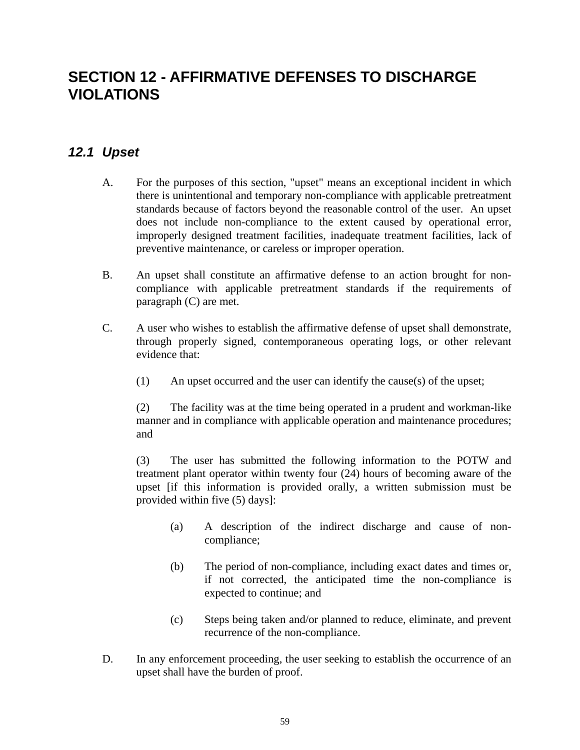## <span id="page-62-0"></span>**SECTION 12 - AFFIRMATIVE DEFENSES TO DISCHARGE VIOLATIONS**

### *12.1 Upset*

- A. For the purposes of this section, "upset" means an exceptional incident in which there is unintentional and temporary non-compliance with applicable pretreatment standards because of factors beyond the reasonable control of the user. An upset does not include non-compliance to the extent caused by operational error, improperly designed treatment facilities, inadequate treatment facilities, lack of preventive maintenance, or careless or improper operation.
- B. An upset shall constitute an affirmative defense to an action brought for noncompliance with applicable pretreatment standards if the requirements of paragraph (C) are met.
- C. A user who wishes to establish the affirmative defense of upset shall demonstrate, through properly signed, contemporaneous operating logs, or other relevant evidence that:
	- (1) An upset occurred and the user can identify the cause(s) of the upset;

 (2) The facility was at the time being operated in a prudent and workman-like manner and in compliance with applicable operation and maintenance procedures; and

 (3) The user has submitted the following information to the POTW and treatment plant operator within twenty four (24) hours of becoming aware of the upset [if this information is provided orally, a written submission must be provided within five (5) days]:

- (a) A description of the indirect discharge and cause of noncompliance;
- (b) The period of non-compliance, including exact dates and times or, if not corrected, the anticipated time the non-compliance is expected to continue; and
- (c) Steps being taken and/or planned to reduce, eliminate, and prevent recurrence of the non-compliance.
- D. In any enforcement proceeding, the user seeking to establish the occurrence of an upset shall have the burden of proof.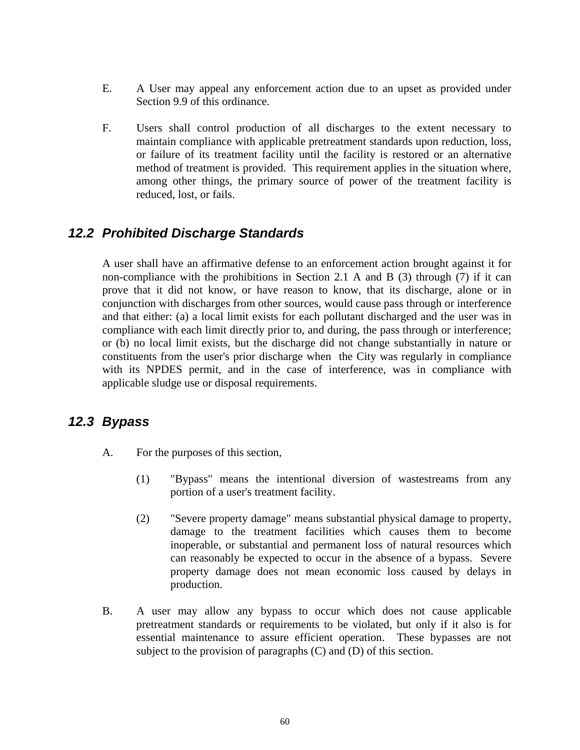- <span id="page-63-0"></span> E. A User may appeal any enforcement action due to an upset as provided under Section 9.9 of this ordinance.
- F. Users shall control production of all discharges to the extent necessary to maintain compliance with applicable pretreatment standards upon reduction, loss, or failure of its treatment facility until the facility is restored or an alternative method of treatment is provided. This requirement applies in the situation where, among other things, the primary source of power of the treatment facility is reduced, lost, or fails.

### *12.2 Prohibited Discharge Standards*

 A user shall have an affirmative defense to an enforcement action brought against it for non-compliance with the prohibitions in Section 2.1 A and B (3) through (7) if it can prove that it did not know, or have reason to know, that its discharge, alone or in conjunction with discharges from other sources, would cause pass through or interference and that either: (a) a local limit exists for each pollutant discharged and the user was in compliance with each limit directly prior to, and during, the pass through or interference; or (b) no local limit exists, but the discharge did not change substantially in nature or constituents from the user's prior discharge when the City was regularly in compliance with its NPDES permit, and in the case of interference, was in compliance with applicable sludge use or disposal requirements.

#### *12.3 Bypass*

- A. For the purposes of this section,
	- (1) "Bypass" means the intentional diversion of wastestreams from any portion of a user's treatment facility.
	- (2) "Severe property damage" means substantial physical damage to property, damage to the treatment facilities which causes them to become inoperable, or substantial and permanent loss of natural resources which can reasonably be expected to occur in the absence of a bypass. Severe property damage does not mean economic loss caused by delays in production.
- B. A user may allow any bypass to occur which does not cause applicable pretreatment standards or requirements to be violated, but only if it also is for essential maintenance to assure efficient operation. These bypasses are not subject to the provision of paragraphs (C) and (D) of this section.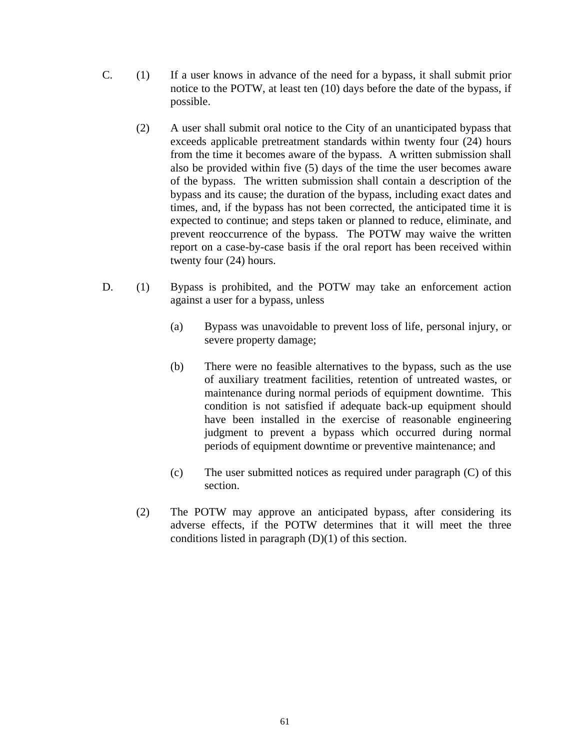- C. (1) If a user knows in advance of the need for a bypass, it shall submit prior notice to the POTW, at least ten (10) days before the date of the bypass, if possible.
	- (2) A user shall submit oral notice to the City of an unanticipated bypass that exceeds applicable pretreatment standards within twenty four (24) hours from the time it becomes aware of the bypass. A written submission shall also be provided within five (5) days of the time the user becomes aware of the bypass. The written submission shall contain a description of the bypass and its cause; the duration of the bypass, including exact dates and times, and, if the bypass has not been corrected, the anticipated time it is expected to continue; and steps taken or planned to reduce, eliminate, and prevent reoccurrence of the bypass. The POTW may waive the written report on a case-by-case basis if the oral report has been received within twenty four (24) hours.
- D. (1) Bypass is prohibited, and the POTW may take an enforcement action against a user for a bypass, unless
	- (a) Bypass was unavoidable to prevent loss of life, personal injury, or severe property damage;
	- (b) There were no feasible alternatives to the bypass, such as the use of auxiliary treatment facilities, retention of untreated wastes, or maintenance during normal periods of equipment downtime. This condition is not satisfied if adequate back-up equipment should have been installed in the exercise of reasonable engineering judgment to prevent a bypass which occurred during normal periods of equipment downtime or preventive maintenance; and
	- (c) The user submitted notices as required under paragraph (C) of this section.
	- (2) The POTW may approve an anticipated bypass, after considering its adverse effects, if the POTW determines that it will meet the three conditions listed in paragraph  $(D)(1)$  of this section.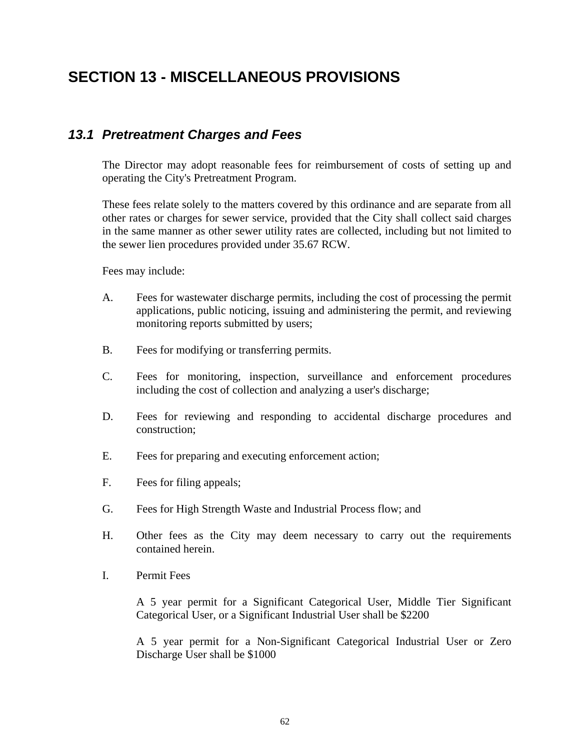## <span id="page-65-0"></span>**SECTION 13 - MISCELLANEOUS PROVISIONS**

#### *13.1 Pretreatment Charges and Fees*

 The Director may adopt reasonable fees for reimbursement of costs of setting up and operating the City's Pretreatment Program.

 These fees relate solely to the matters covered by this ordinance and are separate from all other rates or charges for sewer service, provided that the City shall collect said charges in the same manner as other sewer utility rates are collected, including but not limited to the sewer lien procedures provided under 35.67 RCW.

Fees may include:

- A. Fees for wastewater discharge permits, including the cost of processing the permit applications, public noticing, issuing and administering the permit, and reviewing monitoring reports submitted by users;
- B. Fees for modifying or transferring permits.
- C. Fees for monitoring, inspection, surveillance and enforcement procedures including the cost of collection and analyzing a user's discharge;
- D. Fees for reviewing and responding to accidental discharge procedures and construction;
- E. Fees for preparing and executing enforcement action;
- F. Fees for filing appeals;
- G. Fees for High Strength Waste and Industrial Process flow; and
- H. Other fees as the City may deem necessary to carry out the requirements contained herein.
- I. Permit Fees

 A 5 year permit for a Significant Categorical User, Middle Tier Significant Categorical User, or a Significant Industrial User shall be \$2200

 A 5 year permit for a Non-Significant Categorical Industrial User or Zero Discharge User shall be \$1000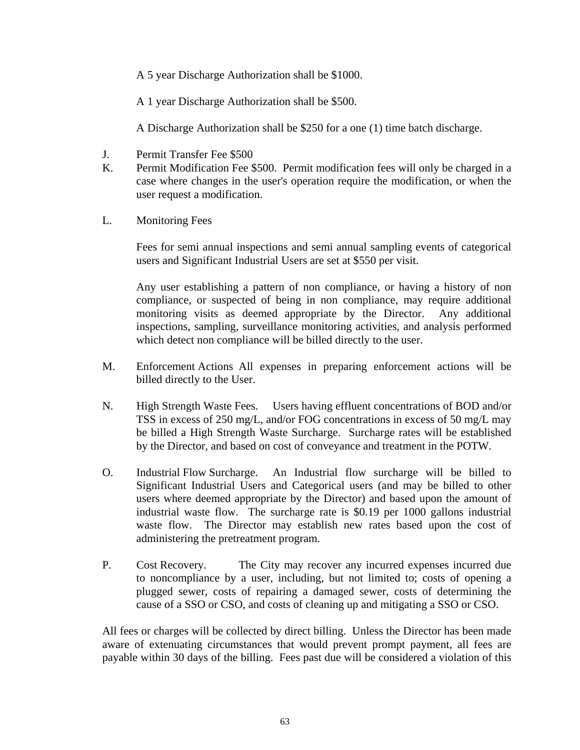A 5 year Discharge Authorization shall be \$1000.

A 1 year Discharge Authorization shall be \$500.

A Discharge Authorization shall be \$250 for a one (1) time batch discharge.

- J. Permit Transfer Fee \$500
- K. Permit Modification Fee \$500. Permit modification fees will only be charged in a case where changes in the user's operation require the modification, or when the user request a modification.
- L. Monitoring Fees

 Fees for semi annual inspections and semi annual sampling events of categorical users and Significant Industrial Users are set at \$550 per visit.

 Any user establishing a pattern of non compliance, or having a history of non compliance, or suspected of being in non compliance, may require additional monitoring visits as deemed appropriate by the Director. Any additional inspections, sampling, surveillance monitoring activities, and analysis performed which detect non compliance will be billed directly to the user.

- M. Enforcement Actions All expenses in preparing enforcement actions will be billed directly to the User.
- N. High Strength Waste Fees. Users having effluent concentrations of BOD and/or TSS in excess of 250 mg/L, and/or FOG concentrations in excess of 50 mg/L may be billed a High Strength Waste Surcharge. Surcharge rates will be established by the Director, and based on cost of conveyance and treatment in the POTW.
- O. Industrial Flow Surcharge. An Industrial flow surcharge will be billed to Significant Industrial Users and Categorical users (and may be billed to other users where deemed appropriate by the Director) and based upon the amount of industrial waste flow. The surcharge rate is \$0.19 per 1000 gallons industrial waste flow. The Director may establish new rates based upon the cost of administering the pretreatment program.
- P. Cost Recovery. The City may recover any incurred expenses incurred due to noncompliance by a user, including, but not limited to; costs of opening a plugged sewer, costs of repairing a damaged sewer, costs of determining the cause of a SSO or CSO, and costs of cleaning up and mitigating a SSO or CSO.

 All fees or charges will be collected by direct billing. Unless the Director has been made aware of extenuating circumstances that would prevent prompt payment, all fees are payable within 30 days of the billing. Fees past due will be considered a violation of this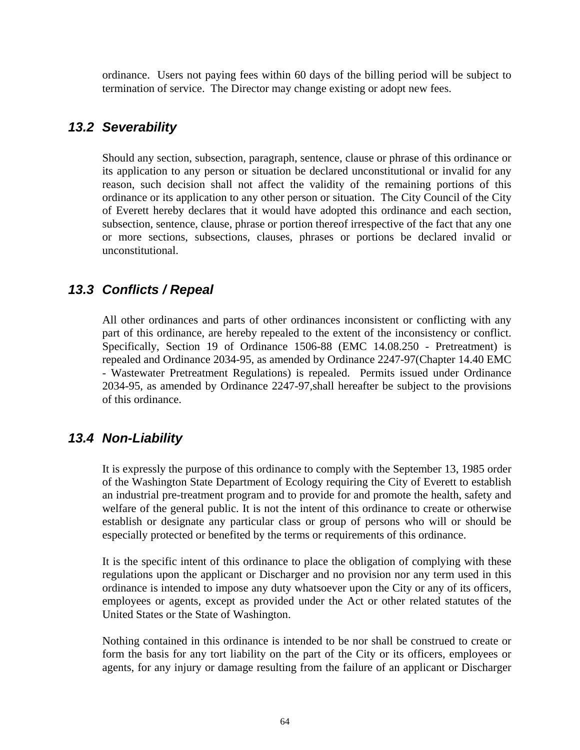<span id="page-67-0"></span>ordinance. Users not paying fees within 60 days of the billing period will be subject to termination of service. The Director may change existing or adopt new fees.

#### *13.2 Severability*

 Should any section, subsection, paragraph, sentence, clause or phrase of this ordinance or its application to any person or situation be declared unconstitutional or invalid for any reason, such decision shall not affect the validity of the remaining portions of this ordinance or its application to any other person or situation. The City Council of the City of Everett hereby declares that it would have adopted this ordinance and each section, subsection, sentence, clause, phrase or portion thereof irrespective of the fact that any one or more sections, subsections, clauses, phrases or portions be declared invalid or unconstitutional.

### *13.3 Conflicts / Repeal*

 All other ordinances and parts of other ordinances inconsistent or conflicting with any part of this ordinance, are hereby repealed to the extent of the inconsistency or conflict. Specifically, Section 19 of Ordinance 1506-88 (EMC 14.08.250 - Pretreatment) is repealed and Ordinance 2034-95, as amended by Ordinance 2247-97(Chapter 14.40 EMC - Wastewater Pretreatment Regulations) is repealed. Permits issued under Ordinance 2034-95, as amended by Ordinance 2247-97,shall hereafter be subject to the provisions of this ordinance.

#### *13.4 Non-Liability*

 It is expressly the purpose of this ordinance to comply with the September 13, 1985 order of the Washington State Department of Ecology requiring the City of Everett to establish an industrial pre-treatment program and to provide for and promote the health, safety and welfare of the general public. It is not the intent of this ordinance to create or otherwise establish or designate any particular class or group of persons who will or should be especially protected or benefited by the terms or requirements of this ordinance.

 It is the specific intent of this ordinance to place the obligation of complying with these regulations upon the applicant or Discharger and no provision nor any term used in this ordinance is intended to impose any duty whatsoever upon the City or any of its officers, employees or agents, except as provided under the Act or other related statutes of the United States or the State of Washington.

 Nothing contained in this ordinance is intended to be nor shall be construed to create or form the basis for any tort liability on the part of the City or its officers, employees or agents, for any injury or damage resulting from the failure of an applicant or Discharger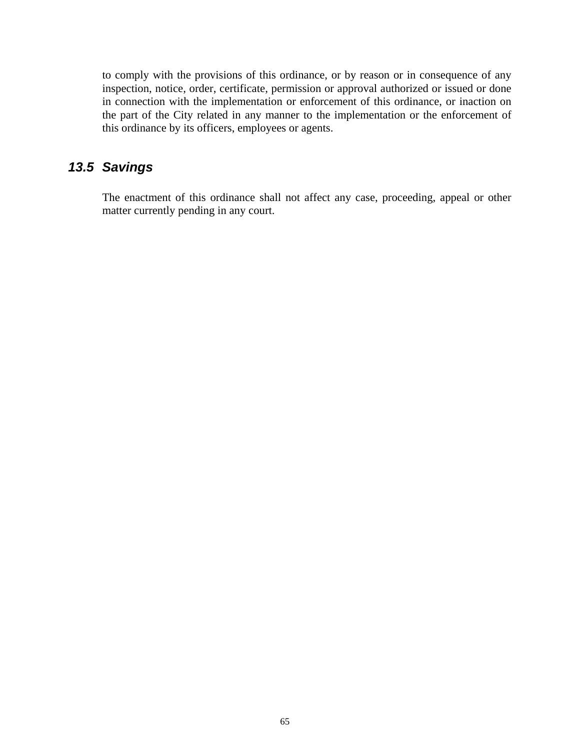<span id="page-68-0"></span>to comply with the provisions of this ordinance, or by reason or in consequence of any inspection, notice, order, certificate, permission or approval authorized or issued or done in connection with the implementation or enforcement of this ordinance, or inaction on the part of the City related in any manner to the implementation or the enforcement of this ordinance by its officers, employees or agents.

#### *13.5 Savings*

 The enactment of this ordinance shall not affect any case, proceeding, appeal or other matter currently pending in any court.